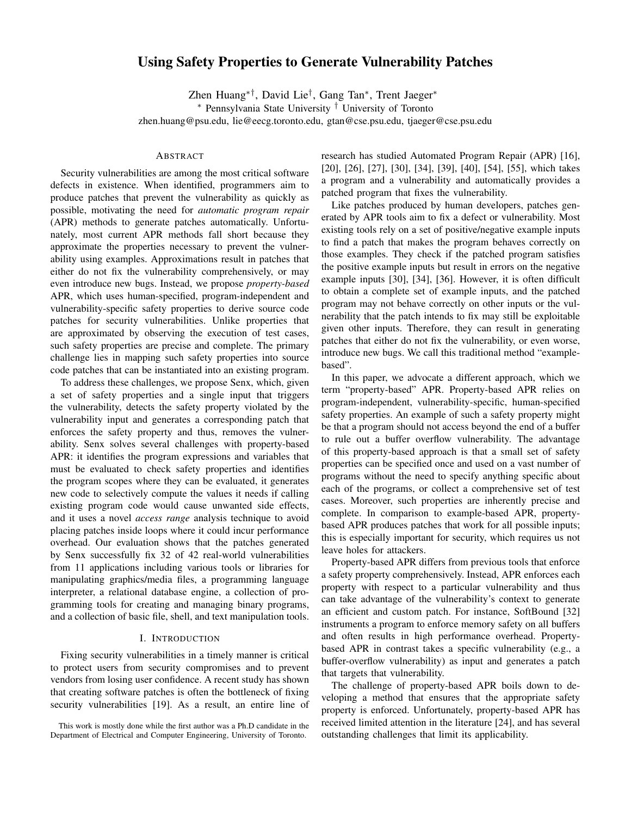# Using Safety Properties to Generate Vulnerability Patches

Zhen Huang∗†, David Lie† , Gang Tan<sup>∗</sup> , Trent Jaeger<sup>∗</sup> <sup>∗</sup> Pennsylvania State University † University of Toronto zhen.huang@psu.edu, lie@eecg.toronto.edu, gtan@cse.psu.edu, tjaeger@cse.psu.edu

## ABSTRACT

Security vulnerabilities are among the most critical software defects in existence. When identified, programmers aim to produce patches that prevent the vulnerability as quickly as possible, motivating the need for *automatic program repair* (APR) methods to generate patches automatically. Unfortunately, most current APR methods fall short because they approximate the properties necessary to prevent the vulnerability using examples. Approximations result in patches that either do not fix the vulnerability comprehensively, or may even introduce new bugs. Instead, we propose *property-based* APR, which uses human-specified, program-independent and vulnerability-specific safety properties to derive source code patches for security vulnerabilities. Unlike properties that are approximated by observing the execution of test cases, such safety properties are precise and complete. The primary challenge lies in mapping such safety properties into source code patches that can be instantiated into an existing program.

To address these challenges, we propose Senx, which, given a set of safety properties and a single input that triggers the vulnerability, detects the safety property violated by the vulnerability input and generates a corresponding patch that enforces the safety property and thus, removes the vulnerability. Senx solves several challenges with property-based APR: it identifies the program expressions and variables that must be evaluated to check safety properties and identifies the program scopes where they can be evaluated, it generates new code to selectively compute the values it needs if calling existing program code would cause unwanted side effects, and it uses a novel *access range* analysis technique to avoid placing patches inside loops where it could incur performance overhead. Our evaluation shows that the patches generated by Senx successfully fix 32 of 42 real-world vulnerabilities from 11 applications including various tools or libraries for manipulating graphics/media files, a programming language interpreter, a relational database engine, a collection of programming tools for creating and managing binary programs, and a collection of basic file, shell, and text manipulation tools.

### I. INTRODUCTION

Fixing security vulnerabilities in a timely manner is critical to protect users from security compromises and to prevent vendors from losing user confidence. A recent study has shown that creating software patches is often the bottleneck of fixing security vulnerabilities [19]. As a result, an entire line of research has studied Automated Program Repair (APR) [16], [20], [26], [27], [30], [34], [39], [40], [54], [55], which takes a program and a vulnerability and automatically provides a patched program that fixes the vulnerability.

Like patches produced by human developers, patches generated by APR tools aim to fix a defect or vulnerability. Most existing tools rely on a set of positive/negative example inputs to find a patch that makes the program behaves correctly on those examples. They check if the patched program satisfies the positive example inputs but result in errors on the negative example inputs [30], [34], [36]. However, it is often difficult to obtain a complete set of example inputs, and the patched program may not behave correctly on other inputs or the vulnerability that the patch intends to fix may still be exploitable given other inputs. Therefore, they can result in generating patches that either do not fix the vulnerability, or even worse, introduce new bugs. We call this traditional method "examplebased".

In this paper, we advocate a different approach, which we term "property-based" APR. Property-based APR relies on program-independent, vulnerability-specific, human-specified safety properties. An example of such a safety property might be that a program should not access beyond the end of a buffer to rule out a buffer overflow vulnerability. The advantage of this property-based approach is that a small set of safety properties can be specified once and used on a vast number of programs without the need to specify anything specific about each of the programs, or collect a comprehensive set of test cases. Moreover, such properties are inherently precise and complete. In comparison to example-based APR, propertybased APR produces patches that work for all possible inputs; this is especially important for security, which requires us not leave holes for attackers.

Property-based APR differs from previous tools that enforce a safety property comprehensively. Instead, APR enforces each property with respect to a particular vulnerability and thus can take advantage of the vulnerability's context to generate an efficient and custom patch. For instance, SoftBound [32] instruments a program to enforce memory safety on all buffers and often results in high performance overhead. Propertybased APR in contrast takes a specific vulnerability (e.g., a buffer-overflow vulnerability) as input and generates a patch that targets that vulnerability.

The challenge of property-based APR boils down to developing a method that ensures that the appropriate safety property is enforced. Unfortunately, property-based APR has received limited attention in the literature [24], and has several outstanding challenges that limit its applicability.

This work is mostly done while the first author was a Ph.D candidate in the Department of Electrical and Computer Engineering, University of Toronto.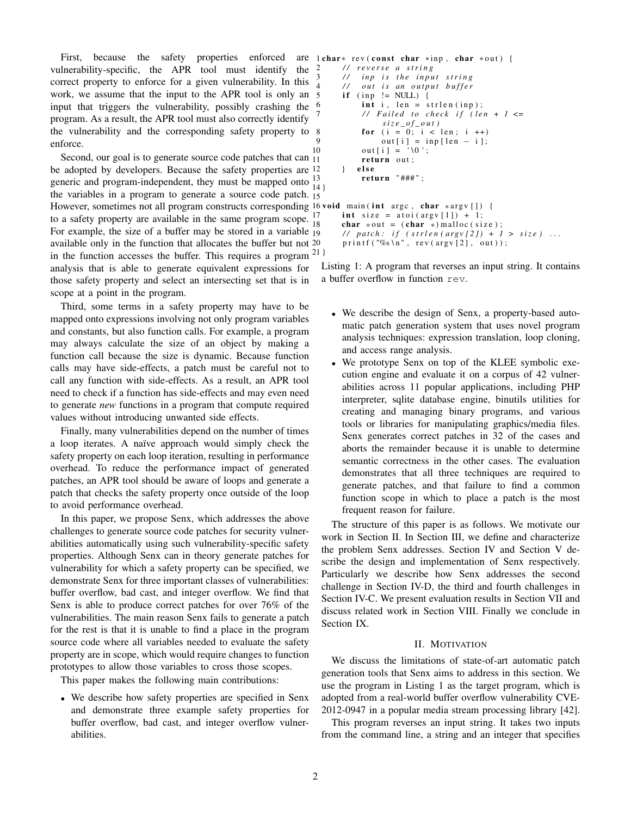First, because the safety properties enforced are 1 char \* rev (const char \* inp, char \* out) { vulnerability-specific, the APR tool must identify the correct property to enforce for a given vulnerability. In this work, we assume that the input to the APR tool is only an 5 input that triggers the vulnerability, possibly crashing the  $\frac{6}{5}$ program. As a result, the APR tool must also correctly identify the vulnerability and the corresponding safety property to enforce.

Second, our goal is to generate source code patches that can  $\frac{1}{11}$ be adopted by developers. Because the safety properties are 12 generic and program-independent, they must be mapped onto  $\frac{13}{14}$ the variables in a program to generate a source code patch.  $\frac{1}{15}$ However, sometimes not all program constructs corresponding 16 void main (int argc, char \*argv []) { to a safety property are available in the same program scope.  $\frac{17}{18}$ For example, the size of a buffer may be stored in a variable  $\frac{10}{19}$ available only in the function that allocates the buffer but not in the function accesses the buffer. This requires a program  $21$ } analysis that is able to generate equivalent expressions for those safety property and select an intersecting set that is in scope at a point in the program.

Third, some terms in a safety property may have to be mapped onto expressions involving not only program variables and constants, but also function calls. For example, a program may always calculate the size of an object by making a function call because the size is dynamic. Because function calls may have side-effects, a patch must be careful not to call any function with side-effects. As a result, an APR tool need to check if a function has side-effects and may even need to generate *new* functions in a program that compute required values without introducing unwanted side effects.

Finally, many vulnerabilities depend on the number of times a loop iterates. A naïve approach would simply check the safety property on each loop iteration, resulting in performance overhead. To reduce the performance impact of generated patches, an APR tool should be aware of loops and generate a patch that checks the safety property once outside of the loop to avoid performance overhead.

In this paper, we propose Senx, which addresses the above challenges to generate source code patches for security vulnerabilities automatically using such vulnerability-specific safety properties. Although Senx can in theory generate patches for vulnerability for which a safety property can be specified, we demonstrate Senx for three important classes of vulnerabilities: buffer overflow, bad cast, and integer overflow. We find that Senx is able to produce correct patches for over 76% of the vulnerabilities. The main reason Senx fails to generate a patch for the rest is that it is unable to find a place in the program source code where all variables needed to evaluate the safety property are in scope, which would require changes to function prototypes to allow those variables to cross those scopes.

This paper makes the following main contributions:

• We describe how safety properties are specified in Senx and demonstrate three example safety properties for buffer overflow, bad cast, and integer overflow vulnerabilities.

```
2 / / r e v e r s e a s t r i n g
3 // inp is the input string
4 // out is an output buffer
       if (\text{inp} := \text{NULL}) {
            int i, len = strlen (inp);\frac{1}{\sqrt{2}} Failed to check if (len + 1 <=
                  size\_of\_out)
            for (i = 0; i < len; i++)9 \text{out}[\text{i}] = \text{inp}[\text{len} - \text{i}];<br>10 \text{out}[\text{i}] = \text{'} \text{/}0 \text{'}:
            out[i] =return out;
       } else
            return "###":
       int size = atoi (argv [1]) + 1;char *out = (char *) malloc(size);
19 // patch: if (strlen(argv[2]) + 1 > size) ...
20 printf ("%s\n", rev (argv[2], out));
```
Listing 1: A program that reverses an input string. It contains a buffer overflow in function rev.

- We describe the design of Senx, a property-based automatic patch generation system that uses novel program analysis techniques: expression translation, loop cloning, and access range analysis.
- We prototype Senx on top of the KLEE symbolic execution engine and evaluate it on a corpus of 42 vulnerabilities across 11 popular applications, including PHP interpreter, sqlite database engine, binutils utilities for creating and managing binary programs, and various tools or libraries for manipulating graphics/media files. Senx generates correct patches in 32 of the cases and aborts the remainder because it is unable to determine semantic correctness in the other cases. The evaluation demonstrates that all three techniques are required to generate patches, and that failure to find a common function scope in which to place a patch is the most frequent reason for failure.

The structure of this paper is as follows. We motivate our work in Section II. In Section III, we define and characterize the problem Senx addresses. Section IV and Section V describe the design and implementation of Senx respectively. Particularly we describe how Senx addresses the second challenge in Section IV-D, the third and fourth challenges in Section IV-C. We present evaluation results in Section VII and discuss related work in Section VIII. Finally we conclude in Section IX.

## II. MOTIVATION

We discuss the limitations of state-of-art automatic patch generation tools that Senx aims to address in this section. We use the program in Listing 1 as the target program, which is adopted from a real-world buffer overflow vulnerability CVE-2012-0947 in a popular media stream processing library [42].

This program reverses an input string. It takes two inputs from the command line, a string and an integer that specifies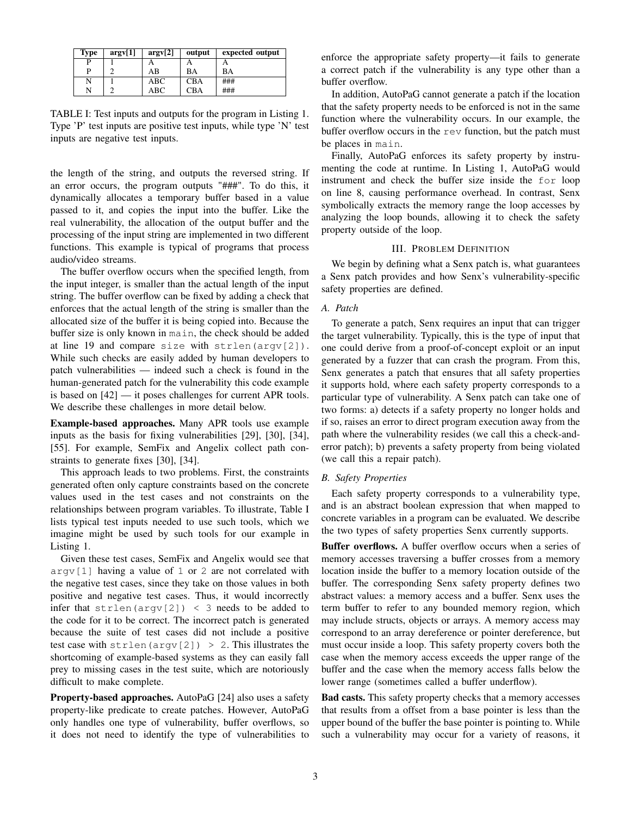| Type | argv[1] | argv[2]    | output     | expected output |
|------|---------|------------|------------|-----------------|
|      |         |            |            |                 |
|      |         | AB         | <b>BA</b>  | BA              |
| N    |         | ABC        | <b>CBA</b> | ###             |
| N    |         | <b>ABC</b> | <b>CBA</b> | ###             |

TABLE I: Test inputs and outputs for the program in Listing 1. Type 'P' test inputs are positive test inputs, while type 'N' test inputs are negative test inputs.

the length of the string, and outputs the reversed string. If an error occurs, the program outputs "###". To do this, it dynamically allocates a temporary buffer based in a value passed to it, and copies the input into the buffer. Like the real vulnerability, the allocation of the output buffer and the processing of the input string are implemented in two different functions. This example is typical of programs that process audio/video streams.

The buffer overflow occurs when the specified length, from the input integer, is smaller than the actual length of the input string. The buffer overflow can be fixed by adding a check that enforces that the actual length of the string is smaller than the allocated size of the buffer it is being copied into. Because the buffer size is only known in main, the check should be added at line 19 and compare size with strlen(argv[2]). While such checks are easily added by human developers to patch vulnerabilities — indeed such a check is found in the human-generated patch for the vulnerability this code example is based on [42] — it poses challenges for current APR tools. We describe these challenges in more detail below.

Example-based approaches. Many APR tools use example inputs as the basis for fixing vulnerabilities [29], [30], [34], [55]. For example, SemFix and Angelix collect path constraints to generate fixes [30], [34].

This approach leads to two problems. First, the constraints generated often only capture constraints based on the concrete values used in the test cases and not constraints on the relationships between program variables. To illustrate, Table I lists typical test inputs needed to use such tools, which we imagine might be used by such tools for our example in Listing 1.

Given these test cases, SemFix and Angelix would see that  $\arg\{1\}$  having a value of 1 or 2 are not correlated with the negative test cases, since they take on those values in both positive and negative test cases. Thus, it would incorrectly infer that strlen( $argv[2]$ ) < 3 needs to be added to the code for it to be correct. The incorrect patch is generated because the suite of test cases did not include a positive test case with strlen(argv[2]) > 2. This illustrates the shortcoming of example-based systems as they can easily fall prey to missing cases in the test suite, which are notoriously difficult to make complete.

Property-based approaches. AutoPaG [24] also uses a safety property-like predicate to create patches. However, AutoPaG only handles one type of vulnerability, buffer overflows, so it does not need to identify the type of vulnerabilities to enforce the appropriate safety property—it fails to generate a correct patch if the vulnerability is any type other than a buffer overflow.

In addition, AutoPaG cannot generate a patch if the location that the safety property needs to be enforced is not in the same function where the vulnerability occurs. In our example, the buffer overflow occurs in the rev function, but the patch must be places in main.

Finally, AutoPaG enforces its safety property by instrumenting the code at runtime. In Listing 1, AutoPaG would instrument and check the buffer size inside the for loop on line 8, causing performance overhead. In contrast, Senx symbolically extracts the memory range the loop accesses by analyzing the loop bounds, allowing it to check the safety property outside of the loop.

# III. PROBLEM DEFINITION

We begin by defining what a Senx patch is, what guarantees a Senx patch provides and how Senx's vulnerability-specific safety properties are defined.

# *A. Patch*

To generate a patch, Senx requires an input that can trigger the target vulnerability. Typically, this is the type of input that one could derive from a proof-of-concept exploit or an input generated by a fuzzer that can crash the program. From this, Senx generates a patch that ensures that all safety properties it supports hold, where each safety property corresponds to a particular type of vulnerability. A Senx patch can take one of two forms: a) detects if a safety property no longer holds and if so, raises an error to direct program execution away from the path where the vulnerability resides (we call this a check-anderror patch); b) prevents a safety property from being violated (we call this a repair patch).

#### *B. Safety Properties*

Each safety property corresponds to a vulnerability type, and is an abstract boolean expression that when mapped to concrete variables in a program can be evaluated. We describe the two types of safety properties Senx currently supports.

Buffer overflows. A buffer overflow occurs when a series of memory accesses traversing a buffer crosses from a memory location inside the buffer to a memory location outside of the buffer. The corresponding Senx safety property defines two abstract values: a memory access and a buffer. Senx uses the term buffer to refer to any bounded memory region, which may include structs, objects or arrays. A memory access may correspond to an array dereference or pointer dereference, but must occur inside a loop. This safety property covers both the case when the memory access exceeds the upper range of the buffer and the case when the memory access falls below the lower range (sometimes called a buffer underflow).

Bad casts. This safety property checks that a memory accesses that results from a offset from a base pointer is less than the upper bound of the buffer the base pointer is pointing to. While such a vulnerability may occur for a variety of reasons, it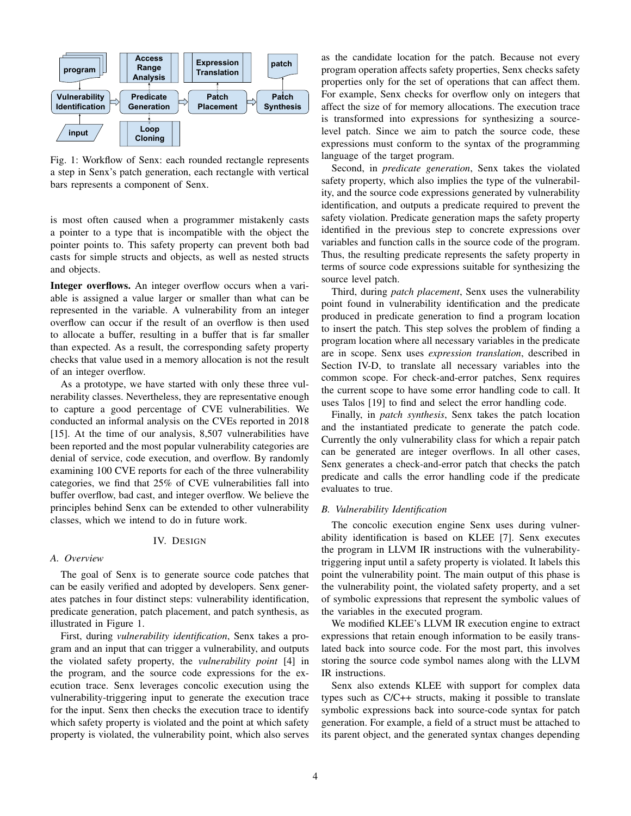

Fig. 1: Workflow of Senx: each rounded rectangle represents a step in Senx's patch generation, each rectangle with vertical bars represents a component of Senx.

is most often caused when a programmer mistakenly casts a pointer to a type that is incompatible with the object the pointer points to. This safety property can prevent both bad casts for simple structs and objects, as well as nested structs and objects.

Integer overflows. An integer overflow occurs when a variable is assigned a value larger or smaller than what can be represented in the variable. A vulnerability from an integer overflow can occur if the result of an overflow is then used to allocate a buffer, resulting in a buffer that is far smaller than expected. As a result, the corresponding safety property checks that value used in a memory allocation is not the result of an integer overflow.

As a prototype, we have started with only these three vulnerability classes. Nevertheless, they are representative enough to capture a good percentage of CVE vulnerabilities. We conducted an informal analysis on the CVEs reported in 2018 [15]. At the time of our analysis, 8,507 vulnerabilities have been reported and the most popular vulnerability categories are denial of service, code execution, and overflow. By randomly examining 100 CVE reports for each of the three vulnerability categories, we find that 25% of CVE vulnerabilities fall into buffer overflow, bad cast, and integer overflow. We believe the principles behind Senx can be extended to other vulnerability classes, which we intend to do in future work.

## IV. DESIGN

## *A. Overview*

The goal of Senx is to generate source code patches that can be easily verified and adopted by developers. Senx generates patches in four distinct steps: vulnerability identification, predicate generation, patch placement, and patch synthesis, as illustrated in Figure 1.

First, during *vulnerability identification*, Senx takes a program and an input that can trigger a vulnerability, and outputs the violated safety property, the *vulnerability point* [4] in the program, and the source code expressions for the execution trace. Senx leverages concolic execution using the vulnerability-triggering input to generate the execution trace for the input. Senx then checks the execution trace to identify which safety property is violated and the point at which safety property is violated, the vulnerability point, which also serves as the candidate location for the patch. Because not every program operation affects safety properties, Senx checks safety properties only for the set of operations that can affect them. For example, Senx checks for overflow only on integers that affect the size of for memory allocations. The execution trace is transformed into expressions for synthesizing a sourcelevel patch. Since we aim to patch the source code, these expressions must conform to the syntax of the programming language of the target program.

Second, in *predicate generation*, Senx takes the violated safety property, which also implies the type of the vulnerability, and the source code expressions generated by vulnerability identification, and outputs a predicate required to prevent the safety violation. Predicate generation maps the safety property identified in the previous step to concrete expressions over variables and function calls in the source code of the program. Thus, the resulting predicate represents the safety property in terms of source code expressions suitable for synthesizing the source level patch.

Third, during *patch placement*, Senx uses the vulnerability point found in vulnerability identification and the predicate produced in predicate generation to find a program location to insert the patch. This step solves the problem of finding a program location where all necessary variables in the predicate are in scope. Senx uses *expression translation*, described in Section IV-D, to translate all necessary variables into the common scope. For check-and-error patches, Senx requires the current scope to have some error handling code to call. It uses Talos [19] to find and select the error handling code.

Finally, in *patch synthesis*, Senx takes the patch location and the instantiated predicate to generate the patch code. Currently the only vulnerability class for which a repair patch can be generated are integer overflows. In all other cases, Senx generates a check-and-error patch that checks the patch predicate and calls the error handling code if the predicate evaluates to true.

## *B. Vulnerability Identification*

The concolic execution engine Senx uses during vulnerability identification is based on KLEE [7]. Senx executes the program in LLVM IR instructions with the vulnerabilitytriggering input until a safety property is violated. It labels this point the vulnerability point. The main output of this phase is the vulnerability point, the violated safety property, and a set of symbolic expressions that represent the symbolic values of the variables in the executed program.

We modified KLEE's LLVM IR execution engine to extract expressions that retain enough information to be easily translated back into source code. For the most part, this involves storing the source code symbol names along with the LLVM IR instructions.

Senx also extends KLEE with support for complex data types such as C/C++ structs, making it possible to translate symbolic expressions back into source-code syntax for patch generation. For example, a field of a struct must be attached to its parent object, and the generated syntax changes depending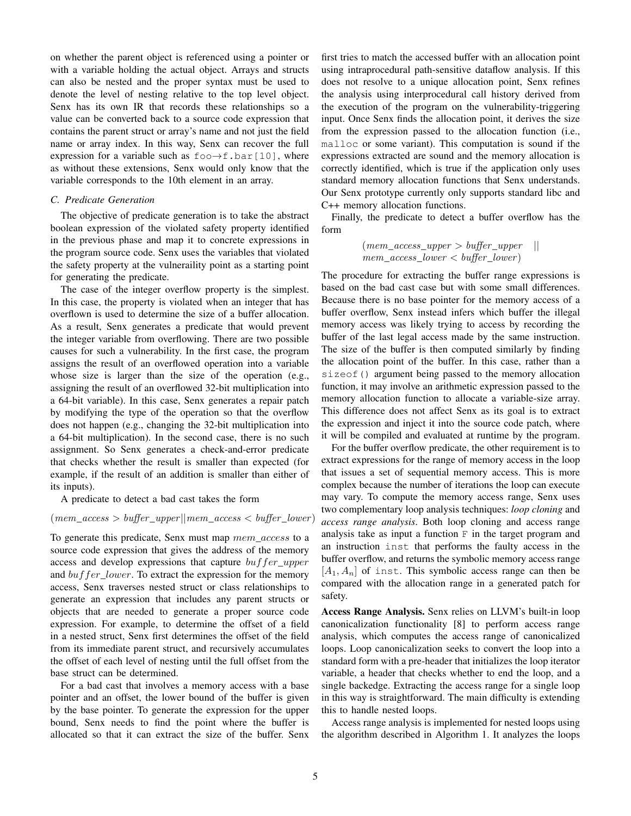on whether the parent object is referenced using a pointer or with a variable holding the actual object. Arrays and structs can also be nested and the proper syntax must be used to denote the level of nesting relative to the top level object. Senx has its own IR that records these relationships so a value can be converted back to a source code expression that contains the parent struct or array's name and not just the field name or array index. In this way, Senx can recover the full expression for a variable such as  $f \circ \circ \to f$ .bar[10], where as without these extensions, Senx would only know that the variable corresponds to the 10th element in an array.

## *C. Predicate Generation*

The objective of predicate generation is to take the abstract boolean expression of the violated safety property identified in the previous phase and map it to concrete expressions in the program source code. Senx uses the variables that violated the safety property at the vulneraility point as a starting point for generating the predicate.

The case of the integer overflow property is the simplest. In this case, the property is violated when an integer that has overflown is used to determine the size of a buffer allocation. As a result, Senx generates a predicate that would prevent the integer variable from overflowing. There are two possible causes for such a vulnerability. In the first case, the program assigns the result of an overflowed operation into a variable whose size is larger than the size of the operation (e.g., assigning the result of an overflowed 32-bit multiplication into a 64-bit variable). In this case, Senx generates a repair patch by modifying the type of the operation so that the overflow does not happen (e.g., changing the 32-bit multiplication into a 64-bit multiplication). In the second case, there is no such assignment. So Senx generates a check-and-error predicate that checks whether the result is smaller than expected (for example, if the result of an addition is smaller than either of its inputs).

A predicate to detect a bad cast takes the form

$$
(mem\_access > buffer\_upper || mem\_access < buffer\_lower)
$$

To generate this predicate, Senx must map mem\_access to a source code expression that gives the address of the memory access and develop expressions that capture buffer upper and  $buffer\_lower$ . To extract the expression for the memory access, Senx traverses nested struct or class relationships to generate an expression that includes any parent structs or objects that are needed to generate a proper source code expression. For example, to determine the offset of a field in a nested struct, Senx first determines the offset of the field from its immediate parent struct, and recursively accumulates the offset of each level of nesting until the full offset from the base struct can be determined.

For a bad cast that involves a memory access with a base pointer and an offset, the lower bound of the buffer is given by the base pointer. To generate the expression for the upper bound, Senx needs to find the point where the buffer is allocated so that it can extract the size of the buffer. Senx first tries to match the accessed buffer with an allocation point using intraprocedural path-sensitive dataflow analysis. If this does not resolve to a unique allocation point, Senx refines the analysis using interprocedural call history derived from the execution of the program on the vulnerability-triggering input. Once Senx finds the allocation point, it derives the size from the expression passed to the allocation function (i.e., malloc or some variant). This computation is sound if the expressions extracted are sound and the memory allocation is correctly identified, which is true if the application only uses standard memory allocation functions that Senx understands. Our Senx prototype currently only supports standard libc and C++ memory allocation functions.

Finally, the predicate to detect a buffer overflow has the form

> $(mem\_access\_upper > buffer\_upper$ || mem\_access\_lower < buffer\_lower  $)$

The procedure for extracting the buffer range expressions is based on the bad cast case but with some small differences. Because there is no base pointer for the memory access of a buffer overflow, Senx instead infers which buffer the illegal memory access was likely trying to access by recording the buffer of the last legal access made by the same instruction. The size of the buffer is then computed similarly by finding the allocation point of the buffer. In this case, rather than a sizeof() argument being passed to the memory allocation function, it may involve an arithmetic expression passed to the memory allocation function to allocate a variable-size array. This difference does not affect Senx as its goal is to extract the expression and inject it into the source code patch, where it will be compiled and evaluated at runtime by the program.

For the buffer overflow predicate, the other requirement is to extract expressions for the range of memory access in the loop that issues a set of sequential memory access. This is more complex because the number of iterations the loop can execute may vary. To compute the memory access range, Senx uses two complementary loop analysis techniques: *loop cloning* and *access range analysis*. Both loop cloning and access range analysis take as input a function  $F$  in the target program and an instruction inst that performs the faulty access in the buffer overflow, and returns the symbolic memory access range  $[A_1, A_n]$  of inst. This symbolic access range can then be compared with the allocation range in a generated patch for safety.

Access Range Analysis. Senx relies on LLVM's built-in loop canonicalization functionality [8] to perform access range analysis, which computes the access range of canonicalized loops. Loop canonicalization seeks to convert the loop into a standard form with a pre-header that initializes the loop iterator variable, a header that checks whether to end the loop, and a single backedge. Extracting the access range for a single loop in this way is straightforward. The main difficulty is extending this to handle nested loops.

Access range analysis is implemented for nested loops using the algorithm described in Algorithm 1. It analyzes the loops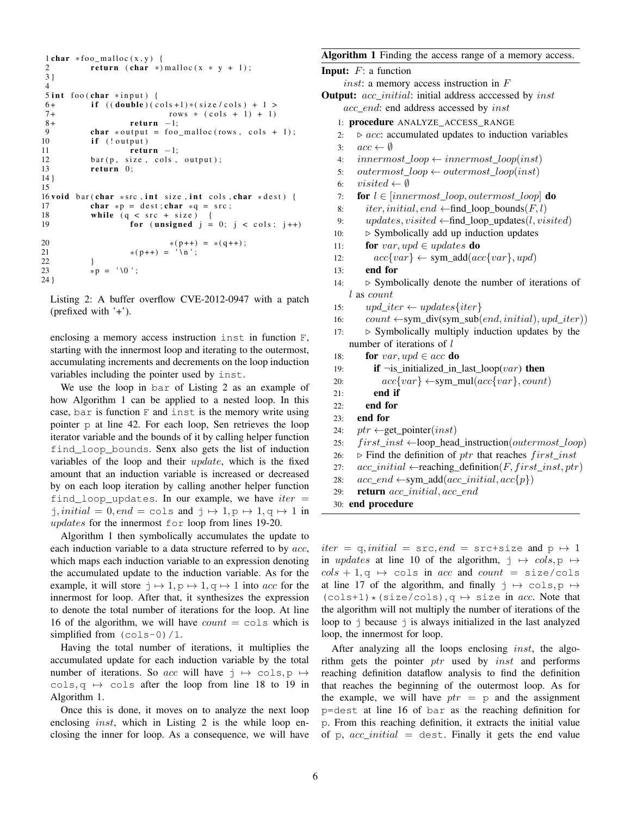```
\frac{1 \text{ char} * \text{foo\_malloc(x, y)} \{2 \text{ return (char *)}\}}{2}return (char *) malloc(x * y + 1);
3 }
 4
 5 int foo (char *input) {<br>6+ if ((double)(c
 6 + if ((\text{double})(\text{cols}+) * (\text{size}/\text{cols}) + 1 ><br>7 + \text{rows} * (\text{cols} + 1) + 1)7+ rows * (cols + 1) + 1)<br>8+ return -1:
                          return -1:
9 char * output = foo_{\text{m}} alloc (rows, cols + 1);<br>10 if (! output)
              if (! output)
11 return -1;<br>12 bar(p. size, cols.
12 bar (p, size, cols, output);<br>13 return 0;
              return 0;
14 }
15
16 void bar (char * src, int size, int cols, char * dest) {<br>17 char * p = dest; char * q = src;
17 char *p = dest; char *q = src ;<br>18 while (a < src + size) {
              while (q \leq src + size)^{1}19 for (unsigned j = 0; j < \text{cols}; j++)20 *(p++) = *(q++);<br>21 *(p++) = '\n';*(p++) = ' \n\times j22 }
23 \star p = ' \ 0';24 }
```
Listing 2: A buffer overflow CVE-2012-0947 with a patch (prefixed with  $'$ +').

enclosing a memory access instruction inst in function F, starting with the innermost loop and iterating to the outermost, accumulating increments and decrements on the loop induction variables including the pointer used by inst.

We use the loop in bar of Listing 2 as an example of how Algorithm 1 can be applied to a nested loop. In this case, bar is function F and inst is the memory write using pointer p at line 42. For each loop, Sen retrieves the loop iterator variable and the bounds of it by calling helper function find\_loop\_bounds. Senx also gets the list of induction variables of the loop and their update, which is the fixed amount that an induction variable is increased or decreased by on each loop iteration by calling another helper function find\_loop\_updates. In our example, we have  $iter =$  $\gamma$ , initial = 0, end = cols and  $\gamma \mapsto 1$ ,  $p \mapsto 1$ ,  $q \mapsto 1$  in updates for the innermost for loop from lines 19-20.

Algorithm 1 then symbolically accumulates the update to each induction variable to a data structure referred to by acc, which maps each induction variable to an expression denoting the accumulated update to the induction variable. As for the example, it will store  $j \mapsto 1, p \mapsto 1, q \mapsto 1$  into acc for the innermost for loop. After that, it synthesizes the expression to denote the total number of iterations for the loop. At line 16 of the algorithm, we will have  $count = \text{cols}$  which is simplified from (cols-0)/1.

Having the total number of iterations, it multiplies the accumulated update for each induction variable by the total number of iterations. So acc will have  $j \mapsto \text{cols}, p \mapsto$ cols,  $q \mapsto$  cols after the loop from line 18 to 19 in Algorithm 1.

Once this is done, it moves on to analyze the next loop enclosing *inst*, which in Listing 2 is the while loop enclosing the inner for loop. As a consequence, we will have

## Algorithm 1 Finding the access range of a memory access.

```
Input: F: a function
     inst: a memory access instruction in F
Output: acc_initial: initial address acccessed by inst
     acc_end: end address accessed by inst
    1: procedure ANALYZE_ACCESS_RANGE
   2: \triangleright acc: accumulated updates to induction variables
   3: acc \leftarrow \emptyset4: innermost\_loop \leftarrow innermost\_loop(int)5: outermost loop \leftarrow outermost\ loop(inst)6: visited \leftarrow \emptyset7: for l \in [innermost\ loop, outermost\ loop] do
   8: iter, initial, end \leftarrow find_loop_bounds(F, l)
   9: updates, visited \leftarrow find\_loop\_update(s, visited)10: \triangleright Symbolically add up induction updates
   11: for var, upd \in updates do
   12: acc\{var\} \leftarrow \text{sym } add(ac\{var\}, upd)13: end for
   14: \Rightarrow Symbolically denote the number of iterations of
      l as count
   15: upd\_iter \leftarrow updates\{iter\}16: count \leftarrow sym\_div(sym\_sub(end, initial), upd\_iter))17: \Rightarrow Symbolically multiply induction updates by the
      number of iterations of l
   18: for var, upd \in acc do
   19: if \negis_initialized_in_last_loop(var) then
  20: acc\{var\} \leftarrow sym\_mul(acc\{var\}, count)21: end if
  22: end for
  23: end for
  24: ptr \leftarrow get\_pointer(inst)25: first\_inst \leftarrow loop\_head\_instruction(outermost\_loop)26: \triangleright Find the definition of ptr that reaches first inst
  27: acc_initial ←reaching_definition(F, f irst_inst, ptr)
  28: acc\_end \leftarrow sym\_add(acc\_initial, acc\{p\})29: return acc_initial, acc_end
  30: end procedure
```
 $iter = q, initial = src, end = src + size and p \mapsto 1$ in updates at line 10 of the algorithm,  $j \mapsto \text{cols}, p \mapsto$  $cols + 1, q \mapsto \text{cols in } acc \text{ and } count = \text{size/cols}$ at line 17 of the algorithm, and finally  $\gamma \mapsto \text{cols}, p \mapsto$  $(cols+1)*(size/cols), q \mapsto size in acc.$  Note that the algorithm will not multiply the number of iterations of the loop to  $\dot{J}$  because  $\dot{J}$  is always initialized in the last analyzed loop, the innermost for loop.

After analyzing all the loops enclosing inst, the algorithm gets the pointer  $ptr$  used by  $inst$  and performs reaching definition dataflow analysis to find the definition that reaches the beginning of the outermost loop. As for the example, we will have  $ptr = p$  and the assignment p=dest at line 16 of bar as the reaching definition for p. From this reaching definition, it extracts the initial value of p,  $acc\_initial = dest$ . Finally it gets the end value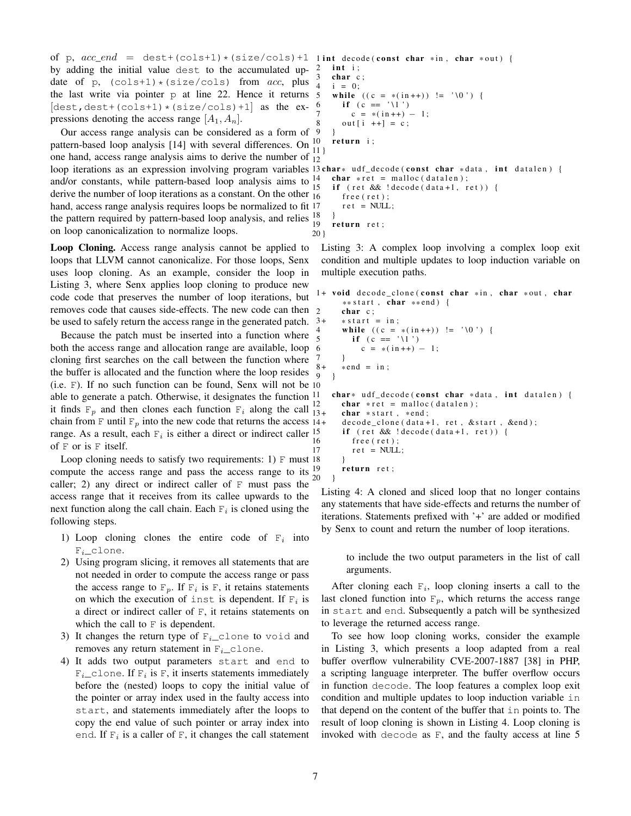of p,  $acc\_end = dest + (cols + 1) * (size/cols) + 1$  lint decode(const char  $*in$ , char  $*out)$  { by adding the initial value dest to the accumulated update of p,  $(cols+1)*(size/cols)$  from acc, plus the last write via pointer p at line 22. Hence it returns  $[dest, dest+(cols+1)*(size/cols)+1]$  as the expressions denoting the access range  $[A_1, A_n]$ .

Our access range analysis can be considered as a form of pattern-based loop analysis [14] with several differences. On  $^{10}_{11}$ one hand, access range analysis aims to derive the number of  $\frac{12}{12}$ loop iterations as an expression involving program variables 13 char\* udf\_decode (const char \*data, int datalen) { and/or constants, while pattern-based loop analysis aims to  $\frac{14}{15}$ derive the number of loop iterations as a constant. On the other  $\frac{1}{16}$ hand, access range analysis requires loops be normalized to fit 17 the pattern required by pattern-based loop analysis, and relies  $\frac{18}{10}$ on loop canonicalization to normalize loops.

Loop Cloning. Access range analysis cannot be applied to loops that LLVM cannot canonicalize. For those loops, Senx uses loop cloning. As an example, consider the loop in Listing 3, where Senx applies loop cloning to produce new code code that preserves the number of loop iterations, but removes code that causes side-effects. The new code can then be used to safely return the access range in the generated patch.

Because the patch must be inserted into a function where both the access range and allocation range are available, loop cloning first searches on the call between the function where the buffer is allocated and the function where the loop resides  $\frac{0}{9}$ (i.e. F). If no such function can be found, Senx will not be 10 able to generate a patch. Otherwise, it designates the function  $\frac{11}{12}$ it finds  $F_p$  and then clones each function  $F_i$  along the call  $\frac{12}{13}$ chain from F until  $F_p$  into the new code that returns the access 14+ range. As a result, each  $F_i$  is either a direct or indirect caller of F or is F itself.

Loop cloning needs to satisfy two requirements: 1)  $\text{F}$  must 18  $\text{F}$ compute the access range and pass the access range to its  $\frac{19}{20}$ caller; 2) any direct or indirect caller of F must pass the access range that it receives from its callee upwards to the next function along the call chain. Each  $F_i$  is cloned using the following steps.

- 1) Loop cloning clones the entire code of  $F_i$  into Fi\_clone.
- 2) Using program slicing, it removes all statements that are not needed in order to compute the access range or pass the access range to  $F_p$ . If  $F_i$  is F, it retains statements on which the execution of inst is dependent. If  $F_i$  is a direct or indirect caller of F, it retains statements on which the call to F is dependent.
- 3) It changes the return type of  $F_i$  clone to void and removes any return statement in  $F_i$ <sub>c</sub>clone.
- 4) It adds two output parameters start and end to  $F_i$ <sub>clone</sub>. If  $F_i$  is F, it inserts statements immediately before the (nested) loops to copy the initial value of the pointer or array index used in the faulty access into start, and statements immediately after the loops to copy the end value of such pointer or array index into end. If  $F_i$  is a caller of  $F$ , it changes the call statement

```
int i:
3 char c ;
4 i = 0;<br>5 while
    while ((c = *(in++))) := ' \ 0') {
      if (c == ' \1')c = *( in ++ ) - 1;out[i ++] = c;9 }
    return i;
11 }
    char *ret = malloc (datalen);
    if (ret && ! decode (data+1, ret)) {
      free (ret):ret = NULL;19 return ret:
20 }
```
Listing 3: A complex loop involving a complex loop exit condition and multiple updates to loop induction variable on multiple execution paths.

```
1+ void decode_clone (const char *in, char *out, char
       ** start, char ** end ) {
2 char c;<br>3+ *start:
      * start = in;4 while ((c = *(in++) ) != '0') {<br>5 if (c == '11')6 c = *(in++) - 1;7 }
      * end = in :
    9 }
    char * udf decode (const char * data, int datalen) {
      char *ret = malloc(datalen);char * start, * end;
      decode\_clone (data+1, ret, &stat, &stat);
15 if (ret && ! decode (data+1, ret)) {<br>16 free (ret):
         free (ret):
17 ret = NULL:
      return ret:
20 }
```
Listing 4: A cloned and sliced loop that no longer contains any statements that have side-effects and returns the number of iterations. Statements prefixed with '+' are added or modified by Senx to count and return the number of loop iterations.

to include the two output parameters in the list of call arguments.

After cloning each  $F_i$ , loop cloning inserts a call to the last cloned function into  $F_p$ , which returns the access range in start and end. Subsequently a patch will be synthesized to leverage the returned access range.

To see how loop cloning works, consider the example in Listing 3, which presents a loop adapted from a real buffer overflow vulnerability CVE-2007-1887 [38] in PHP, a scripting language interpreter. The buffer overflow occurs in function decode. The loop features a complex loop exit condition and multiple updates to loop induction variable in that depend on the content of the buffer that in points to. The result of loop cloning is shown in Listing 4. Loop cloning is invoked with decode as F, and the faulty access at line 5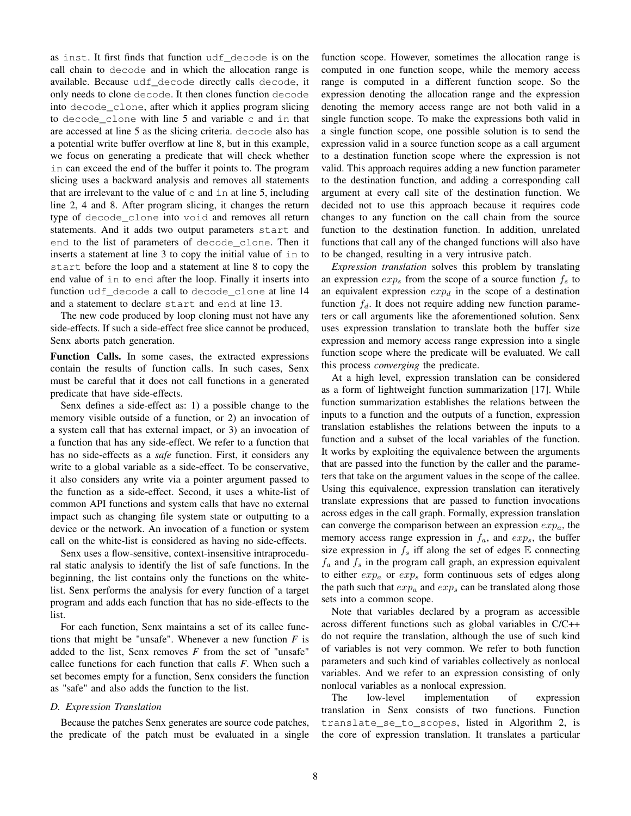as inst. It first finds that function udf\_decode is on the call chain to decode and in which the allocation range is available. Because udf\_decode directly calls decode, it only needs to clone decode. It then clones function decode into decode\_clone, after which it applies program slicing to decode\_clone with line 5 and variable c and in that are accessed at line 5 as the slicing criteria. decode also has a potential write buffer overflow at line 8, but in this example, we focus on generating a predicate that will check whether in can exceed the end of the buffer it points to. The program slicing uses a backward analysis and removes all statements that are irrelevant to the value of  $\sigma$  and in at line 5, including line 2, 4 and 8. After program slicing, it changes the return type of decode\_clone into void and removes all return statements. And it adds two output parameters start and end to the list of parameters of decode\_clone. Then it inserts a statement at line 3 to copy the initial value of in to start before the loop and a statement at line 8 to copy the end value of in to end after the loop. Finally it inserts into function udf\_decode a call to decode\_clone at line 14 and a statement to declare start and end at line 13.

The new code produced by loop cloning must not have any side-effects. If such a side-effect free slice cannot be produced, Senx aborts patch generation.

Function Calls. In some cases, the extracted expressions contain the results of function calls. In such cases, Senx must be careful that it does not call functions in a generated predicate that have side-effects.

Senx defines a side-effect as: 1) a possible change to the memory visible outside of a function, or 2) an invocation of a system call that has external impact, or 3) an invocation of a function that has any side-effect. We refer to a function that has no side-effects as a *safe* function. First, it considers any write to a global variable as a side-effect. To be conservative, it also considers any write via a pointer argument passed to the function as a side-effect. Second, it uses a white-list of common API functions and system calls that have no external impact such as changing file system state or outputting to a device or the network. An invocation of a function or system call on the white-list is considered as having no side-effects.

Senx uses a flow-sensitive, context-insensitive intraprocedural static analysis to identify the list of safe functions. In the beginning, the list contains only the functions on the whitelist. Senx performs the analysis for every function of a target program and adds each function that has no side-effects to the list.

For each function, Senx maintains a set of its callee functions that might be "unsafe". Whenever a new function *F* is added to the list, Senx removes *F* from the set of "unsafe" callee functions for each function that calls *F*. When such a set becomes empty for a function, Senx considers the function as "safe" and also adds the function to the list.

## *D. Expression Translation*

Because the patches Senx generates are source code patches, the predicate of the patch must be evaluated in a single function scope. However, sometimes the allocation range is computed in one function scope, while the memory access range is computed in a different function scope. So the expression denoting the allocation range and the expression denoting the memory access range are not both valid in a single function scope. To make the expressions both valid in a single function scope, one possible solution is to send the expression valid in a source function scope as a call argument to a destination function scope where the expression is not valid. This approach requires adding a new function parameter to the destination function, and adding a corresponding call argument at every call site of the destination function. We decided not to use this approach because it requires code changes to any function on the call chain from the source function to the destination function. In addition, unrelated functions that call any of the changed functions will also have to be changed, resulting in a very intrusive patch.

*Expression translation* solves this problem by translating an expression  $exp<sub>s</sub>$  from the scope of a source function  $f<sub>s</sub>$  to an equivalent expression  $exp<sub>d</sub>$  in the scope of a destination function  $f_d$ . It does not require adding new function parameters or call arguments like the aforementioned solution. Senx uses expression translation to translate both the buffer size expression and memory access range expression into a single function scope where the predicate will be evaluated. We call this process *converging* the predicate.

At a high level, expression translation can be considered as a form of lightweight function summarization [17]. While function summarization establishes the relations between the inputs to a function and the outputs of a function, expression translation establishes the relations between the inputs to a function and a subset of the local variables of the function. It works by exploiting the equivalence between the arguments that are passed into the function by the caller and the parameters that take on the argument values in the scope of the callee. Using this equivalence, expression translation can iteratively translate expressions that are passed to function invocations across edges in the call graph. Formally, expression translation can converge the comparison between an expression  $exp_a$ , the memory access range expression in  $f_a$ , and  $exp_s$ , the buffer size expression in  $f_s$  iff along the set of edges  $\mathbb E$  connecting  $f_a$  and  $f_s$  in the program call graph, an expression equivalent to either  $exp_a$  or  $exp_s$  form continuous sets of edges along the path such that  $exp_a$  and  $exp_s$  can be translated along those sets into a common scope.

Note that variables declared by a program as accessible across different functions such as global variables in C/C++ do not require the translation, although the use of such kind of variables is not very common. We refer to both function parameters and such kind of variables collectively as nonlocal variables. And we refer to an expression consisting of only nonlocal variables as a nonlocal expression.

The low-level implementation of expression translation in Senx consists of two functions. Function translate\_se\_to\_scopes, listed in Algorithm 2, is the core of expression translation. It translates a particular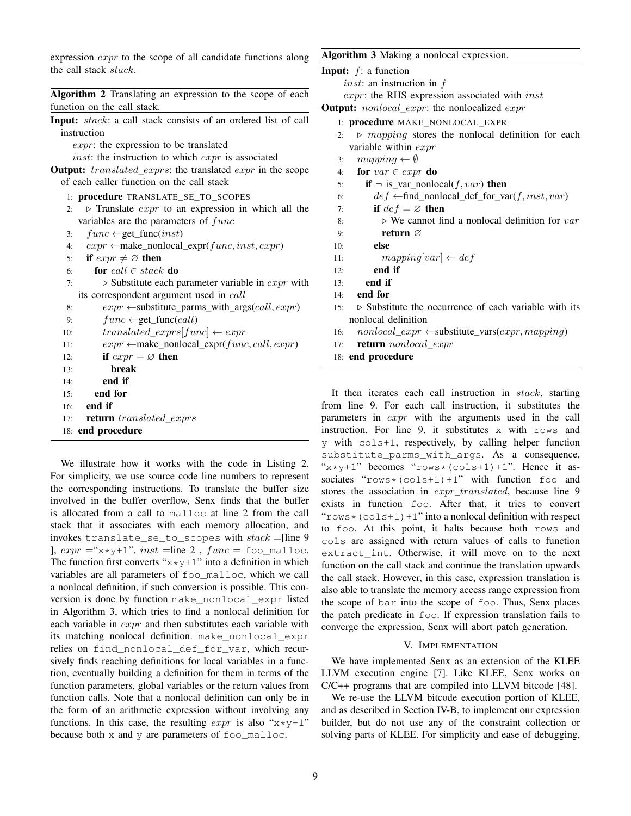expression  $expr$  to the scope of all candidate functions along the call stack stack.

Algorithm 2 Translating an expression to the scope of each function on the call stack.

Input: stack: a call stack consists of an ordered list of call instruction

expr: the expression to be translated

inst: the instruction to which expr is associated

Output: translated\_exprs: the translated expr in the scope of each caller function on the call stack

- 1: procedure TRANSLATE\_SE\_TO\_SCOPES
- 2:  $\triangleright$  Translate *expr* to an expression in which all the variables are the parameters of  $func$
- 3:  $func \leftarrow get\_func(inst)$
- 4:  $expr \leftarrow$ make nonlocal  $exp(func, inst, expr)$
- 5: if  $expr \neq \emptyset$  then
- 6: **for**  $call \in stack$  **do**
- 7:  $\triangleright$  Substitute each parameter variable in *expr* with its correspondent argument used in call

```
8: expr \leftarrow substitute parms with args(call, expr)
```

```
9: func \leftarrow get \, func(call)
```

```
10: translated\_express[func] \leftarrow expr
```

```
11: expr \leftarrow make\_nonlocal\_expr(func, call, expr)
```

```
12: if expr = \emptyset then
13: break
```

```
14: end if
```

```
15: end for
```

```
16: end if
```

```
17: return translated_exprs
```

```
18: end procedure
```
We illustrate how it works with the code in Listing 2. For simplicity, we use source code line numbers to represent the corresponding instructions. To translate the buffer size involved in the buffer overflow, Senx finds that the buffer is allocated from a call to malloc at line 2 from the call stack that it associates with each memory allocation, and invokes translate\_se\_to\_scopes with stack =[line 9 ],  $expr = "x*y+1", inst = line 2, func = fool\_malloc.$ The function first converts " $x \times y + 1$ " into a definition in which variables are all parameters of foo\_malloc, which we call a nonlocal definition, if such conversion is possible. This conversion is done by function make\_nonlocal\_expr listed in Algorithm 3, which tries to find a nonlocal definition for each variable in  $expr$  and then substitutes each variable with its matching nonlocal definition. make\_nonlocal\_expr relies on find\_nonlocal\_def\_for\_var, which recursively finds reaching definitions for local variables in a function, eventually building a definition for them in terms of the function parameters, global variables or the return values from function calls. Note that a nonlocal definition can only be in the form of an arithmetic expression without involving any functions. In this case, the resulting  $expr$  is also " $x*y+1$ " because both  $x$  and  $y$  are parameters of foo malloc.

```
Algorithm 3 Making a nonlocal expression.
Input: f: a function
    inst: an instruction in f
     expr: the RHS expression associated with inst
Output: nonlocal_expr: the nonlocalized expr
   1: procedure MAKE_NONLOCAL_EXPR
   2: \triangleright mapping stores the nonlocal definition for each
      variable within expr
   3: mapping \leftarrow \emptyset4: for var \in expr do
   5: if \neg is var nonlocal(f, var) then
   6: def ←find nonlocal def for var(f, inst, var)7: if def = \varnothing then
   8: \triangleright We cannot find a nonlocal definition for var
   9: return ∅
  10: else
  11: mapping[var] \leftarrow def12: end if
  13: end if
  14: end for
  15: \triangleright Substitute the occurrence of each variable with its
      nonlocal definition
  16: nonlocal expr \leftarrowsubstitute vars(expr, mapping)17: return nonlocal expr
  18: end procedure
```
It then iterates each call instruction in stack, starting from line 9. For each call instruction, it substitutes the parameters in *expr* with the arguments used in the call instruction. For line 9, it substitutes x with rows and y with cols+1, respectively, by calling helper function substitute\_parms\_with\_args. As a consequence, " $x*y+1$ " becomes " $rows*(\text{cols+1})+1$ ". Hence it associates " $rows*(\text{cols+1})+1$ " with function foo and stores the association in expr\_translated, because line 9 exists in function foo. After that, it tries to convert " $rows*(\text{cols+1})+1"$  into a nonlocal definition with respect to foo. At this point, it halts because both rows and cols are assigned with return values of calls to function extract\_int. Otherwise, it will move on to the next function on the call stack and continue the translation upwards the call stack. However, in this case, expression translation is also able to translate the memory access range expression from the scope of bar into the scope of foo. Thus, Senx places the patch predicate in foo. If expression translation fails to converge the expression, Senx will abort patch generation.

# V. IMPLEMENTATION

We have implemented Senx as an extension of the KLEE LLVM execution engine [7]. Like KLEE, Senx works on C/C++ programs that are compiled into LLVM bitcode [48].

We re-use the LLVM bitcode execution portion of KLEE, and as described in Section IV-B, to implement our expression builder, but do not use any of the constraint collection or solving parts of KLEE. For simplicity and ease of debugging,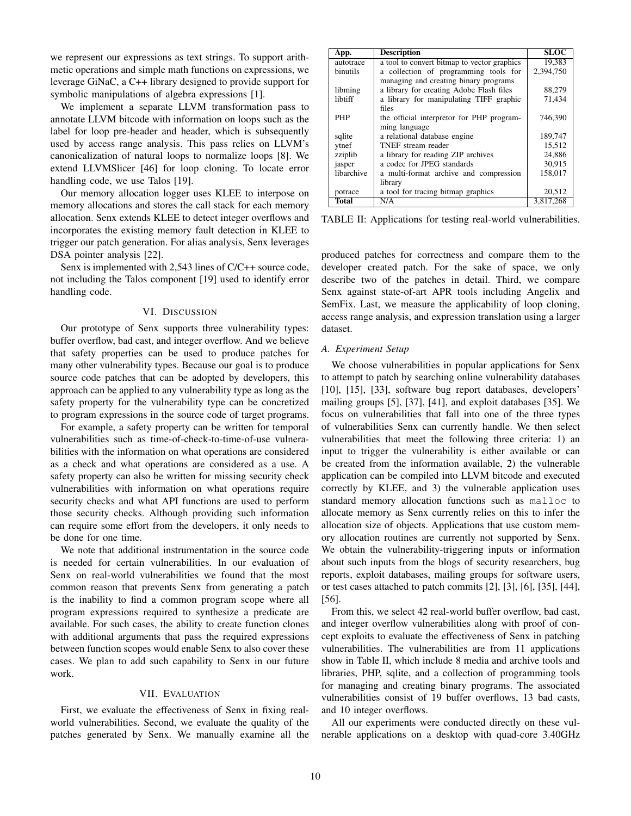we represent our expressions as text strings. To support arithmetic operations and simple math functions on expressions, we leverage GiNaC, a C++ library designed to provide support for symbolic manipulations of algebra expressions [1].

We implement a separate LLVM transformation pass to annotate LLVM bitcode with information on loops such as the label for loop pre-header and header, which is subsequently used by access range analysis. This pass relies on LLVM's canonicalization of natural loops to normalize loops [8]. We extend LLVMSlicer [46] for loop cloning. To locate error handling code, we use Talos [19].

Our memory allocation logger uses KLEE to interpose on memory allocations and stores the call stack for each memory allocation. Senx extends KLEE to detect integer overflows and incorporates the existing memory fault detection in KLEE to trigger our patch generation. For alias analysis, Senx leverages DSA pointer analysis [22].

Senx is implemented with 2,543 lines of C/C++ source code, not including the Talos component [19] used to identify error handling code.

## VI. DISCUSSION

Our prototype of Senx supports three vulnerability types: buffer overflow, bad cast, and integer overflow. And we believe that safety properties can be used to produce patches for many other vulnerability types. Because our goal is to produce source code patches that can be adopted by developers, this approach can be applied to any vulnerability type as long as the safety property for the vulnerability type can be concretized to program expressions in the source code of target programs.

For example, a safety property can be written for temporal vulnerabilities such as time-of-check-to-time-of-use vulnerabilities with the information on what operations are considered as a check and what operations are considered as a use. A safety property can also be written for missing security check vulnerabilities with information on what operations require security checks and what API functions are used to perform those security checks. Although providing such information can require some effort from the developers, it only needs to be done for one time.

We note that additional instrumentation in the source code is needed for certain vulnerabilities. In our evaluation of Senx on real-world vulnerabilities we found that the most common reason that prevents Senx from generating a patch is the inability to find a common program scope where all program expressions required to synthesize a predicate are available. For such cases, the ability to create function clones with additional arguments that pass the required expressions between function scopes would enable Senx to also cover these cases. We plan to add such capability to Senx in our future work.

## VII. EVALUATION

First, we evaluate the effectiveness of Senx in fixing realworld vulnerabilities. Second, we evaluate the quality of the patches generated by Senx. We manually examine all the

| App.       | <b>Description</b>                          | <b>SLOC</b> |
|------------|---------------------------------------------|-------------|
| autotrace  | a tool to convert bitmap to vector graphics | 19.383      |
| binutils   | a collection of programming tools for       | 2.394.750   |
|            | managing and creating binary programs       |             |
| libming    | a library for creating Adobe Flash files    | 88,279      |
| libtiff    | a library for manipulating TIFF graphic     | 71.434      |
|            | files                                       |             |
| <b>PHP</b> | the official interpretor for PHP program-   | 746,390     |
|            | ming language                               |             |
| sqlite     | a relational database engine                | 189.747     |
| ytnef      | TNEF stream reader                          | 15.512      |
| zziplib    | a library for reading ZIP archives          | 24.886      |
| jasper     | a codec for JPEG standards                  | 30,915      |
| libarchive | a multi-format archive and compression      | 158,017     |
|            | library                                     |             |
| potrace    | a tool for tracing bitmap graphics          | 20,512      |
| Total      | N/A                                         | 3,817,268   |

TABLE II: Applications for testing real-world vulnerabilities.

produced patches for correctness and compare them to the developer created patch. For the sake of space, we only describe two of the patches in detail. Third, we compare Senx against state-of-art APR tools including Angelix and SemFix. Last, we measure the applicability of loop cloning, access range analysis, and expression translation using a larger dataset.

## *A. Experiment Setup*

We choose vulnerabilities in popular applications for Senx to attempt to patch by searching online vulnerability databases [10], [15], [33], software bug report databases, developers' mailing groups [5], [37], [41], and exploit databases [35]. We focus on vulnerabilities that fall into one of the three types of vulnerabilities Senx can currently handle. We then select vulnerabilities that meet the following three criteria: 1) an input to trigger the vulnerability is either available or can be created from the information available, 2) the vulnerable application can be compiled into LLVM bitcode and executed correctly by KLEE, and 3) the vulnerable application uses standard memory allocation functions such as malloc to allocate memory as Senx currently relies on this to infer the allocation size of objects. Applications that use custom memory allocation routines are currently not supported by Senx. We obtain the vulnerability-triggering inputs or information about such inputs from the blogs of security researchers, bug reports, exploit databases, mailing groups for software users, or test cases attached to patch commits [2], [3], [6], [35], [44], [56].

From this, we select 42 real-world buffer overflow, bad cast, and integer overflow vulnerabilities along with proof of concept exploits to evaluate the effectiveness of Senx in patching vulnerabilities. The vulnerabilities are from 11 applications show in Table II, which include 8 media and archive tools and libraries, PHP, sqlite, and a collection of programming tools for managing and creating binary programs. The associated vulnerabilities consist of 19 buffer overflows, 13 bad casts, and 10 integer overflows.

All our experiments were conducted directly on these vulnerable applications on a desktop with quad-core 3.40GHz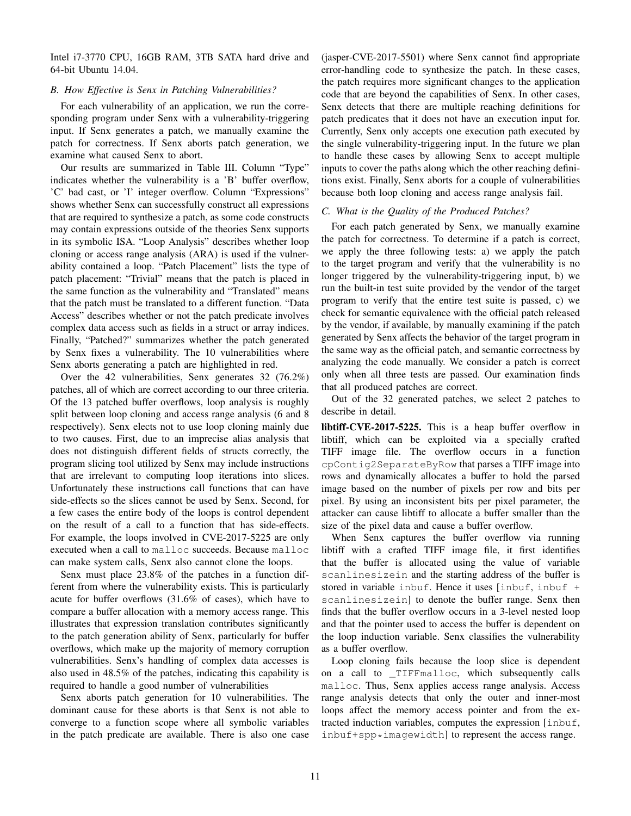Intel i7-3770 CPU, 16GB RAM, 3TB SATA hard drive and 64-bit Ubuntu 14.04.

## *B. How Effective is Senx in Patching Vulnerabilities?*

For each vulnerability of an application, we run the corresponding program under Senx with a vulnerability-triggering input. If Senx generates a patch, we manually examine the patch for correctness. If Senx aborts patch generation, we examine what caused Senx to abort.

Our results are summarized in Table III. Column "Type" indicates whether the vulnerability is a 'B' buffer overflow, 'C' bad cast, or 'I' integer overflow. Column "Expressions" shows whether Senx can successfully construct all expressions that are required to synthesize a patch, as some code constructs may contain expressions outside of the theories Senx supports in its symbolic ISA. "Loop Analysis" describes whether loop cloning or access range analysis (ARA) is used if the vulnerability contained a loop. "Patch Placement" lists the type of patch placement: "Trivial" means that the patch is placed in the same function as the vulnerability and "Translated" means that the patch must be translated to a different function. "Data Access" describes whether or not the patch predicate involves complex data access such as fields in a struct or array indices. Finally, "Patched?" summarizes whether the patch generated by Senx fixes a vulnerability. The 10 vulnerabilities where Senx aborts generating a patch are highlighted in red.

Over the 42 vulnerabilities, Senx generates 32 (76.2%) patches, all of which are correct according to our three criteria. Of the 13 patched buffer overflows, loop analysis is roughly split between loop cloning and access range analysis (6 and 8) respectively). Senx elects not to use loop cloning mainly due to two causes. First, due to an imprecise alias analysis that does not distinguish different fields of structs correctly, the program slicing tool utilized by Senx may include instructions that are irrelevant to computing loop iterations into slices. Unfortunately these instructions call functions that can have side-effects so the slices cannot be used by Senx. Second, for a few cases the entire body of the loops is control dependent on the result of a call to a function that has side-effects. For example, the loops involved in CVE-2017-5225 are only executed when a call to malloc succeeds. Because malloc can make system calls, Senx also cannot clone the loops.

Senx must place 23.8% of the patches in a function different from where the vulnerability exists. This is particularly acute for buffer overflows (31.6% of cases), which have to compare a buffer allocation with a memory access range. This illustrates that expression translation contributes significantly to the patch generation ability of Senx, particularly for buffer overflows, which make up the majority of memory corruption vulnerabilities. Senx's handling of complex data accesses is also used in 48.5% of the patches, indicating this capability is required to handle a good number of vulnerabilities

Senx aborts patch generation for 10 vulnerabilities. The dominant cause for these aborts is that Senx is not able to converge to a function scope where all symbolic variables in the patch predicate are available. There is also one case (jasper-CVE-2017-5501) where Senx cannot find appropriate error-handling code to synthesize the patch. In these cases, the patch requires more significant changes to the application code that are beyond the capabilities of Senx. In other cases, Senx detects that there are multiple reaching definitions for patch predicates that it does not have an execution input for. Currently, Senx only accepts one execution path executed by the single vulnerability-triggering input. In the future we plan to handle these cases by allowing Senx to accept multiple inputs to cover the paths along which the other reaching definitions exist. Finally, Senx aborts for a couple of vulnerabilities because both loop cloning and access range analysis fail.

## *C. What is the Quality of the Produced Patches?*

For each patch generated by Senx, we manually examine the patch for correctness. To determine if a patch is correct, we apply the three following tests: a) we apply the patch to the target program and verify that the vulnerability is no longer triggered by the vulnerability-triggering input, b) we run the built-in test suite provided by the vendor of the target program to verify that the entire test suite is passed, c) we check for semantic equivalence with the official patch released by the vendor, if available, by manually examining if the patch generated by Senx affects the behavior of the target program in the same way as the official patch, and semantic correctness by analyzing the code manually. We consider a patch is correct only when all three tests are passed. Our examination finds that all produced patches are correct.

Out of the 32 generated patches, we select 2 patches to describe in detail.

libtiff-CVE-2017-5225. This is a heap buffer overflow in libtiff, which can be exploited via a specially crafted TIFF image file. The overflow occurs in a function cpContig2SeparateByRow that parses a TIFF image into rows and dynamically allocates a buffer to hold the parsed image based on the number of pixels per row and bits per pixel. By using an inconsistent bits per pixel parameter, the attacker can cause libtiff to allocate a buffer smaller than the size of the pixel data and cause a buffer overflow.

When Senx captures the buffer overflow via running libtiff with a crafted TIFF image file, it first identifies that the buffer is allocated using the value of variable scanlinesizein and the starting address of the buffer is stored in variable inbuf. Hence it uses [inbuf, inbuf + scanlinesizein] to denote the buffer range. Senx then finds that the buffer overflow occurs in a 3-level nested loop and that the pointer used to access the buffer is dependent on the loop induction variable. Senx classifies the vulnerability as a buffer overflow.

Loop cloning fails because the loop slice is dependent on a call to \_TIFFmalloc, which subsequently calls malloc. Thus, Senx applies access range analysis. Access range analysis detects that only the outer and inner-most loops affect the memory access pointer and from the extracted induction variables, computes the expression [inbuf, inbuf+spp\*imagewidth] to represent the access range.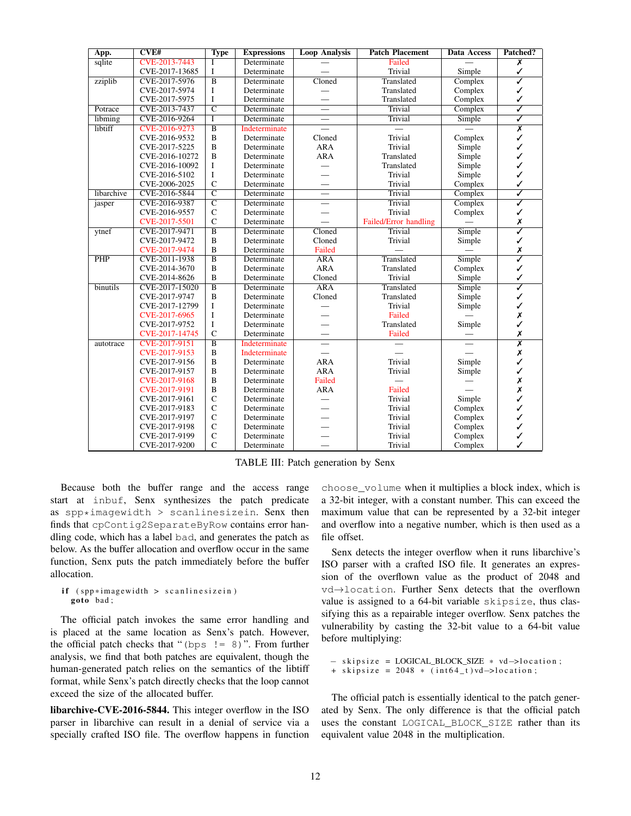| App.       | CVE#           | <b>Type</b>    | <b>Expressions</b> | <b>Loop Analysis</b>     | <b>Patch Placement</b> | <b>Data Access</b> | Patched?                |
|------------|----------------|----------------|--------------------|--------------------------|------------------------|--------------------|-------------------------|
| sqlite     | CVE-2013-7443  | I              | Determinate        |                          | Failed                 |                    | Х                       |
|            | CVE-2017-13685 | $\mathbf I$    | Determinate        |                          | Trivial                | Simple             | ✓                       |
| zziplib    | CVE-2017-5976  | $\overline{B}$ | Determinate        | Cloned                   | Translated             | Complex            | $\overline{\checkmark}$ |
|            | CVE-2017-5974  | $\rm I$        | Determinate        |                          | Translated             | Complex            | ✓                       |
|            | CVE-2017-5975  | $\mathbf I$    | Determinate        |                          | Translated             | Complex            | ✓                       |
| Potrace    | CVE-2013-7437  | $\overline{C}$ | Determinate        | $\equiv$                 | <b>Trivial</b>         | Complex            | J                       |
| libming    | CVE-2016-9264  | $\mathbf I$    | Determinate        |                          | Trivial                | Simple             | ✓                       |
| libtiff    | CVE-2016-9273  | $\overline{B}$ | Indeterminate      |                          |                        |                    | $\overline{\mathsf{x}}$ |
|            | CVE-2016-9532  | $\mathbf{B}$   | Determinate        | Cloned                   | Trivial                | Complex            | ✓                       |
|            | CVE-2017-5225  | B              | Determinate        | <b>ARA</b>               | Trivial                | Simple             | ✓                       |
|            | CVE-2016-10272 | B              | Determinate        | <b>ARA</b>               | Translated             | Simple             | ✓                       |
|            | CVE-2016-10092 | $\mathbf I$    | Determinate        |                          | Translated             | Simple             | ✓                       |
|            | CVE-2016-5102  | $\bf I$        | Determinate        | $\overline{\phantom{0}}$ | Trivial                | Simple             | ✓                       |
|            | CVE-2006-2025  | $\mathbf C$    | Determinate        |                          | Trivial                | Complex            | ✓                       |
| libarchive | CVE-2016-5844  | $\overline{C}$ | Determinate        |                          | <b>Trivial</b>         | Complex            | ᡒ                       |
| jasper     | CVE-2016-9387  | $\overline{c}$ | Determinate        |                          | <b>Trivial</b>         | Complex            | ✓                       |
|            | CVE-2016-9557  | $\mathsf{C}$   | Determinate        | $\overline{\phantom{0}}$ | Trivial                | Complex            | ✓                       |
|            | CVE-2017-5501  | $\mathbf C$    | Determinate        | $\overline{\phantom{0}}$ | Failed/Error handling  |                    | Х                       |
| ytnef      | CVE-2017-9471  | $\overline{B}$ | Determinate        | Cloned                   | Trivial                | Simple             | ✓                       |
|            | CVE-2017-9472  | $\mathbf B$    | Determinate        | Cloned                   | Trivial                | Simple             | ✓                       |
|            | CVE-2017-9474  | B              | Determinate        | Failed                   |                        |                    | Х                       |
| PHP        | CVE-2011-1938  | $\overline{B}$ | Determinate        | <b>ARA</b>               | Translated             | Simple             | $\overline{\checkmark}$ |
|            | CVE-2014-3670  | B              | Determinate        | <b>ARA</b>               | Translated             | Complex            | ✓                       |
|            | CVE-2014-8626  | $\mathbf{B}$   | Determinate        | Cloned                   | Trivial                | Simple             | ✓                       |
| binutils   | CVE-2017-15020 | $\overline{B}$ | Determinate        | <b>ARA</b>               | <b>Translated</b>      | Simple             | ✓                       |
|            | CVE-2017-9747  | B              | Determinate        | Cloned                   | Translated             | Simple             | ✓                       |
|            | CVE-2017-12799 | $\mathbf I$    | Determinate        |                          | Trivial                | Simple             | ✓                       |
|            | CVE-2017-6965  | $\mathbf I$    | Determinate        |                          | Failed                 |                    | Х                       |
|            | CVE-2017-9752  | $\mathbf I$    | Determinate        |                          | Translated             | Simple             | ✓                       |
|            | CVE-2017-14745 | $\mathbf C$    | Determinate        |                          | Failed                 |                    | Х                       |
| autotrace  | CVE-2017-9151  | $\overline{B}$ | Indeterminate      |                          |                        |                    | $\overline{\mathsf{x}}$ |
|            | CVE-2017-9153  | $\overline{B}$ | Indeterminate      |                          |                        |                    | X                       |
|            | CVE-2017-9156  | $\bf{B}$       | Determinate        | <b>ARA</b>               | Trivial                | Simple             | J                       |
|            | CVE-2017-9157  | $\bf{B}$       | Determinate        | <b>ARA</b>               | Trivial                | Simple             | ✓                       |
|            | CVE-2017-9168  | B              | Determinate        | Failed                   |                        |                    | Х                       |
|            | CVE-2017-9191  | $\mathbf B$    | Determinate        | ARA                      | Failed                 |                    | $\mathbf{x}$            |
|            | CVE-2017-9161  | $\mathsf{C}$   | Determinate        |                          | Trivial                | Simple             | ╱                       |
|            | CVE-2017-9183  | $\mathbf C$    | Determinate        |                          | Trivial                | Complex            | ✓                       |
|            | CVE-2017-9197  | $\mathcal{C}$  | Determinate        |                          | Trivial                | Complex            | ✓                       |
|            | CVE-2017-9198  | $\mathsf{C}$   | Determinate        |                          | Trivial                | Complex            | ✓                       |
|            | CVE-2017-9199  | $\mathbf C$    | Determinate        |                          | Trivial                | Complex            | ✓                       |
|            | CVE-2017-9200  | C              | Determinate        | $\equiv$                 | Trivial                | Complex            | ✓                       |

TABLE III: Patch generation by Senx

Because both the buffer range and the access range start at inbuf, Senx synthesizes the patch predicate as  $spp*imagewidth > scanning$  scanlinesizein. Senx then finds that cpContig2SeparateByRow contains error handling code, which has a label bad, and generates the patch as below. As the buffer allocation and overflow occur in the same function, Senx puts the patch immediately before the buffer allocation.

```
if (spp*imagewidth > scanning canlinesize in)goto bad;
```
The official patch invokes the same error handling and is placed at the same location as Senx's patch. However, the official patch checks that "(bps  $!= 8$ )". From further analysis, we find that both patches are equivalent, though the human-generated patch relies on the semantics of the libtiff format, while Senx's patch directly checks that the loop cannot exceed the size of the allocated buffer.

libarchive-CVE-2016-5844. This integer overflow in the ISO parser in libarchive can result in a denial of service via a specially crafted ISO file. The overflow happens in function choose\_volume when it multiplies a block index, which is a 32-bit integer, with a constant number. This can exceed the maximum value that can be represented by a 32-bit integer and overflow into a negative number, which is then used as a file offset.

Senx detects the integer overflow when it runs libarchive's ISO parser with a crafted ISO file. It generates an expression of the overflown value as the product of 2048 and vd→location. Further Senx detects that the overflown value is assigned to a 64-bit variable skipsize, thus classifying this as a repairable integer overflow. Senx patches the vulnerability by casting the 32-bit value to a 64-bit value before multiplying:

− s k i p s i z e = LOGICAL\_BLOCK\_SIZE \* vd−>l o c a t i o n ;  $+$  skipsize = 2048  $*$  (int64\_t)vd->location;

The official patch is essentially identical to the patch generated by Senx. The only difference is that the official patch uses the constant LOGICAL\_BLOCK\_SIZE rather than its equivalent value 2048 in the multiplication.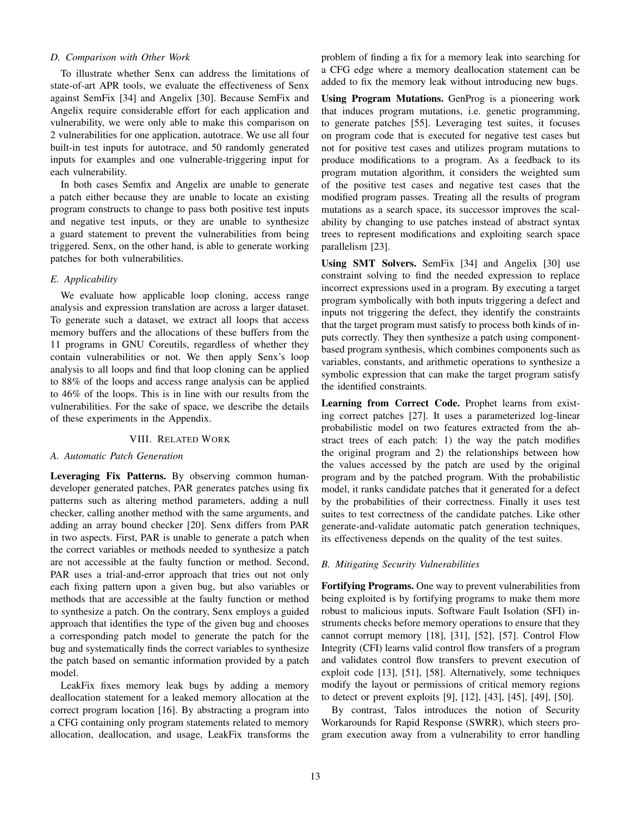# *D. Comparison with Other Work*

To illustrate whether Senx can address the limitations of state-of-art APR tools, we evaluate the effectiveness of Senx against SemFix [34] and Angelix [30]. Because SemFix and Angelix require considerable effort for each application and vulnerability, we were only able to make this comparison on 2 vulnerabilities for one application, autotrace. We use all four built-in test inputs for autotrace, and 50 randomly generated inputs for examples and one vulnerable-triggering input for each vulnerability.

In both cases Semfix and Angelix are unable to generate a patch either because they are unable to locate an existing program constructs to change to pass both positive test inputs and negative test inputs, or they are unable to synthesize a guard statement to prevent the vulnerabilities from being triggered. Senx, on the other hand, is able to generate working patches for both vulnerabilities.

## *E. Applicability*

We evaluate how applicable loop cloning, access range analysis and expression translation are across a larger dataset. To generate such a dataset, we extract all loops that access memory buffers and the allocations of these buffers from the 11 programs in GNU Coreutils, regardless of whether they contain vulnerabilities or not. We then apply Senx's loop analysis to all loops and find that loop cloning can be applied to 88% of the loops and access range analysis can be applied to 46% of the loops. This is in line with our results from the vulnerabilities. For the sake of space, we describe the details of these experiments in the Appendix.

#### VIII. RELATED WORK

## *A. Automatic Patch Generation*

Leveraging Fix Patterns. By observing common humandeveloper generated patches, PAR generates patches using fix patterns such as altering method parameters, adding a null checker, calling another method with the same arguments, and adding an array bound checker [20]. Senx differs from PAR in two aspects. First, PAR is unable to generate a patch when the correct variables or methods needed to synthesize a patch are not accessible at the faulty function or method. Second, PAR uses a trial-and-error approach that tries out not only each fixing pattern upon a given bug, but also variables or methods that are accessible at the faulty function or method to synthesize a patch. On the contrary, Senx employs a guided approach that identifies the type of the given bug and chooses a corresponding patch model to generate the patch for the bug and systematically finds the correct variables to synthesize the patch based on semantic information provided by a patch model.

LeakFix fixes memory leak bugs by adding a memory deallocation statement for a leaked memory allocation at the correct program location [16]. By abstracting a program into a CFG containing only program statements related to memory allocation, deallocation, and usage, LeakFix transforms the problem of finding a fix for a memory leak into searching for a CFG edge where a memory deallocation statement can be added to fix the memory leak without introducing new bugs.

Using Program Mutations. GenProg is a pioneering work that induces program mutations, i.e. genetic programming, to generate patches [55]. Leveraging test suites, it focuses on program code that is executed for negative test cases but not for positive test cases and utilizes program mutations to produce modifications to a program. As a feedback to its program mutation algorithm, it considers the weighted sum of the positive test cases and negative test cases that the modified program passes. Treating all the results of program mutations as a search space, its successor improves the scalability by changing to use patches instead of abstract syntax trees to represent modifications and exploiting search space parallelism [23].

Using SMT Solvers. SemFix [34] and Angelix [30] use constraint solving to find the needed expression to replace incorrect expressions used in a program. By executing a target program symbolically with both inputs triggering a defect and inputs not triggering the defect, they identify the constraints that the target program must satisfy to process both kinds of inputs correctly. They then synthesize a patch using componentbased program synthesis, which combines components such as variables, constants, and arithmetic operations to synthesize a symbolic expression that can make the target program satisfy the identified constraints.

Learning from Correct Code. Prophet learns from existing correct patches [27]. It uses a parameterized log-linear probabilistic model on two features extracted from the abstract trees of each patch: 1) the way the patch modifies the original program and 2) the relationships between how the values accessed by the patch are used by the original program and by the patched program. With the probabilistic model, it ranks candidate patches that it generated for a defect by the probabilities of their correctness. Finally it uses test suites to test correctness of the candidate patches. Like other generate-and-validate automatic patch generation techniques, its effectiveness depends on the quality of the test suites.

#### *B. Mitigating Security Vulnerabilities*

Fortifying Programs. One way to prevent vulnerabilities from being exploited is by fortifying programs to make them more robust to malicious inputs. Software Fault Isolation (SFI) instruments checks before memory operations to ensure that they cannot corrupt memory [18], [31], [52], [57]. Control Flow Integrity (CFI) learns valid control flow transfers of a program and validates control flow transfers to prevent execution of exploit code [13], [51], [58]. Alternatively, some techniques modify the layout or permissions of critical memory regions to detect or prevent exploits [9], [12], [43], [45], [49], [50].

By contrast, Talos introduces the notion of Security Workarounds for Rapid Response (SWRR), which steers program execution away from a vulnerability to error handling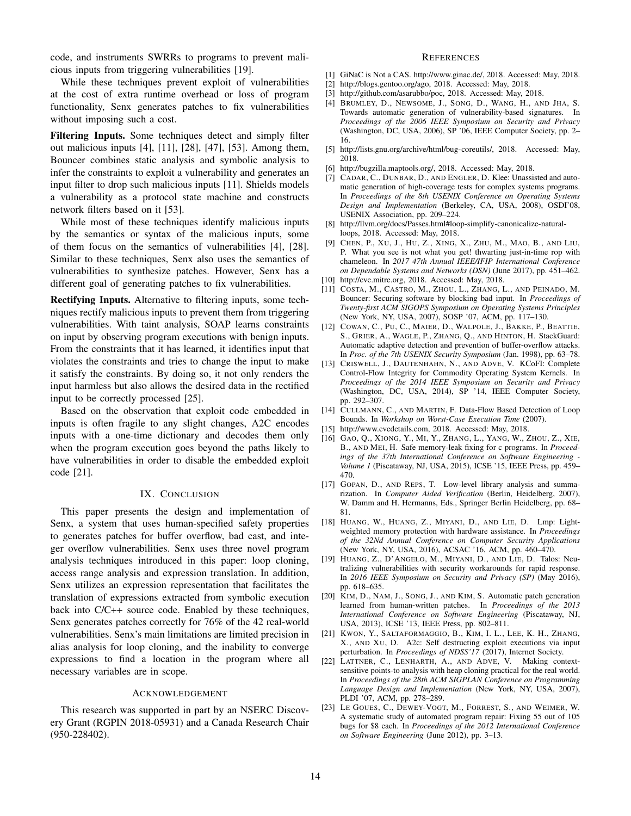code, and instruments SWRRs to programs to prevent malicious inputs from triggering vulnerabilities [19].

While these techniques prevent exploit of vulnerabilities at the cost of extra runtime overhead or loss of program functionality, Senx generates patches to fix vulnerabilities without imposing such a cost.

Filtering Inputs. Some techniques detect and simply filter out malicious inputs [4], [11], [28], [47], [53]. Among them, Bouncer combines static analysis and symbolic analysis to infer the constraints to exploit a vulnerability and generates an input filter to drop such malicious inputs [11]. Shields models a vulnerability as a protocol state machine and constructs network filters based on it [53].

While most of these techniques identify malicious inputs by the semantics or syntax of the malicious inputs, some of them focus on the semantics of vulnerabilities [4], [28]. Similar to these techniques, Senx also uses the semantics of vulnerabilities to synthesize patches. However, Senx has a different goal of generating patches to fix vulnerabilities.

Rectifying Inputs. Alternative to filtering inputs, some techniques rectify malicious inputs to prevent them from triggering vulnerabilities. With taint analysis, SOAP learns constraints on input by observing program executions with benign inputs. From the constraints that it has learned, it identifies input that violates the constraints and tries to change the input to make it satisfy the constraints. By doing so, it not only renders the input harmless but also allows the desired data in the rectified input to be correctly processed [25].

Based on the observation that exploit code embedded in inputs is often fragile to any slight changes, A2C encodes inputs with a one-time dictionary and decodes them only when the program execution goes beyond the paths likely to have vulnerabilities in order to disable the embedded exploit code [21].

## IX. CONCLUSION

This paper presents the design and implementation of Senx, a system that uses human-specified safety properties to generates patches for buffer overflow, bad cast, and integer overflow vulnerabilities. Senx uses three novel program analysis techniques introduced in this paper: loop cloning, access range analysis and expression translation. In addition, Senx utilizes an expression representation that facilitates the translation of expressions extracted from symbolic execution back into C/C++ source code. Enabled by these techniques, Senx generates patches correctly for 76% of the 42 real-world vulnerabilities. Senx's main limitations are limited precision in alias analysis for loop cloning, and the inability to converge expressions to find a location in the program where all necessary variables are in scope.

#### ACKNOWLEDGEMENT

This research was supported in part by an NSERC Discovery Grant (RGPIN 2018-05931) and a Canada Research Chair (950-228402).

### **REFERENCES**

- [1] GiNaC is Not a CAS. http://www.ginac.de/, 2018. Accessed: May, 2018.
- [2] http://blogs.gentoo.org/ago, 2018. Accessed: May, 2018.
- [3] http://github.com/asarubbo/poc, 2018. Accessed: May, 2018.
- [4] BRUMLEY, D., NEWSOME, J., SONG, D., WANG, H., AND JHA, S. Towards automatic generation of vulnerability-based signatures. In *Proceedings of the 2006 IEEE Symposium on Security and Privacy* (Washington, DC, USA, 2006), SP '06, IEEE Computer Society, pp. 2– 16.
- [5] http://lists.gnu.org/archive/html/bug-coreutils/, 2018. Accessed: May, 2018.
- [6] http://bugzilla.maptools.org/, 2018. Accessed: May, 2018.
- [7] CADAR, C., DUNBAR, D., AND ENGLER, D. Klee: Unassisted and automatic generation of high-coverage tests for complex systems programs. In *Proceedings of the 8th USENIX Conference on Operating Systems Design and Implementation* (Berkeley, CA, USA, 2008), OSDI'08, USENIX Association, pp. 209–224.
- [8] http://llvm.org/docs/Passes.html#loop-simplify-canonicalize-naturalloops, 2018. Accessed: May, 2018.
- [9] CHEN, P., XU, J., HU, Z., XING, X., ZHU, M., MAO, B., AND LIU, P. What you see is not what you get! thwarting just-in-time rop with chameleon. In *2017 47th Annual IEEE/IFIP International Conference on Dependable Systems and Networks (DSN)* (June 2017), pp. 451–462.
- [10] http://cve.mitre.org, 2018. Accessed: May, 2018.
- [11] COSTA, M., CASTRO, M., ZHOU, L., ZHANG, L., AND PEINADO, M. Bouncer: Securing software by blocking bad input. In *Proceedings of Twenty-first ACM SIGOPS Symposium on Operating Systems Principles* (New York, NY, USA, 2007), SOSP '07, ACM, pp. 117–130.
- [12] COWAN, C., PU, C., MAIER, D., WALPOLE, J., BAKKE, P., BEATTIE, S., GRIER, A., WAGLE, P., ZHANG, Q., AND HINTON, H. StackGuard: Automatic adaptive detection and prevention of buffer-overflow attacks. In *Proc. of the 7th USENIX Security Symposium* (Jan. 1998), pp. 63–78.
- [13] CRISWELL, J., DAUTENHAHN, N., AND ADVE, V. KCoFI: Complete Control-Flow Integrity for Commodity Operating System Kernels. In *Proceedings of the 2014 IEEE Symposium on Security and Privacy* (Washington, DC, USA, 2014), SP '14, IEEE Computer Society, pp. 292–307.
- [14] CULLMANN, C., AND MARTIN, F. Data-Flow Based Detection of Loop Bounds. In *Workshop on Worst-Case Execution Time* (2007).
- [15] http://www.cvedetails.com, 2018. Accessed: May, 2018.
- [16] GAO, Q., XIONG, Y., MI, Y., ZHANG, L., YANG, W., ZHOU, Z., XIE, B., AND MEI, H. Safe memory-leak fixing for c programs. In *Proceedings of the 37th International Conference on Software Engineering - Volume 1* (Piscataway, NJ, USA, 2015), ICSE '15, IEEE Press, pp. 459– 470.
- [17] GOPAN, D., AND REPS, T. Low-level library analysis and summarization. In *Computer Aided Verification* (Berlin, Heidelberg, 2007), W. Damm and H. Hermanns, Eds., Springer Berlin Heidelberg, pp. 68– 81.
- [18] HUANG, W., HUANG, Z., MIYANI, D., AND LIE, D. Lmp: Lightweighted memory protection with hardware assistance. In *Proceedings of the 32Nd Annual Conference on Computer Security Applications* (New York, NY, USA, 2016), ACSAC '16, ACM, pp. 460–470.
- [19] HUANG, Z., D'ANGELO, M., MIYANI, D., AND LIE, D. Talos: Neutralizing vulnerabilities with security workarounds for rapid response. In *2016 IEEE Symposium on Security and Privacy (SP)* (May 2016), pp. 618–635.
- [20] KIM, D., NAM, J., SONG, J., AND KIM, S. Automatic patch generation learned from human-written patches. In *Proceedings of the 2013 International Conference on Software Engineering* (Piscataway, NJ, USA, 2013), ICSE '13, IEEE Press, pp. 802–811.
- [21] KWON, Y., SALTAFORMAGGIO, B., KIM, I. L., LEE, K. H., ZHANG, X., AND XU, D. A2c: Self destructing exploit executions via input perturbation. In *Proceedings of NDSS'17* (2017), Internet Society.
- [22] LATTNER, C., LENHARTH, A., AND ADVE, V. Making contextsensitive points-to analysis with heap cloning practical for the real world. In *Proceedings of the 28th ACM SIGPLAN Conference on Programming Language Design and Implementation* (New York, NY, USA, 2007), PLDI '07, ACM, pp. 278–289.
- [23] LE GOUES, C., DEWEY-VOGT, M., FORREST, S., AND WEIMER, W. A systematic study of automated program repair: Fixing 55 out of 105 bugs for \$8 each. In *Proceedings of the 2012 International Conference on Software Engineering* (June 2012), pp. 3–13.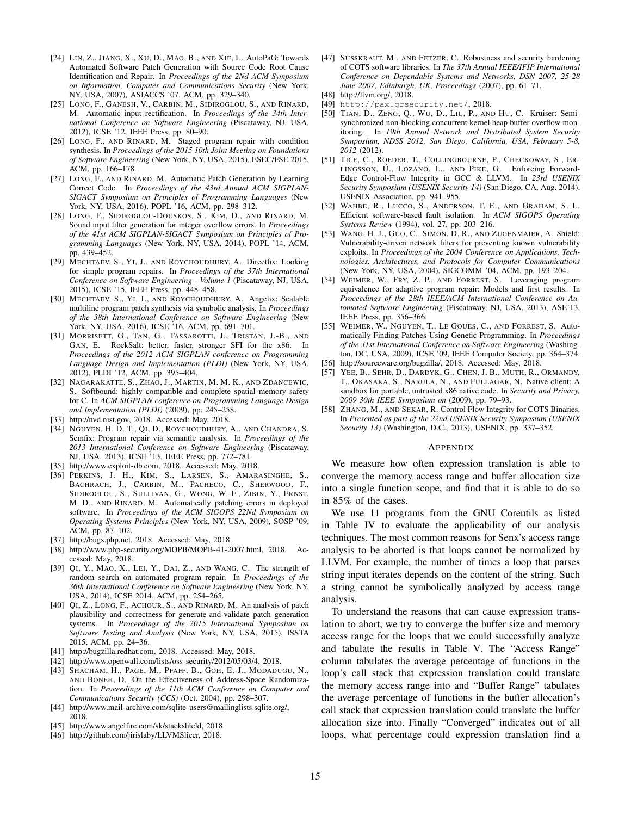- [24] LIN, Z., JIANG, X., XU, D., MAO, B., AND XIE, L. AutoPaG: Towards Automated Software Patch Generation with Source Code Root Cause Identification and Repair. In *Proceedings of the 2Nd ACM Symposium on Information, Computer and Communications Security* (New York, NY, USA, 2007), ASIACCS '07, ACM, pp. 329–340.
- [25] LONG, F., GANESH, V., CARBIN, M., SIDIROGLOU, S., AND RINARD, M. Automatic input rectification. In *Proceedings of the 34th International Conference on Software Engineering* (Piscataway, NJ, USA, 2012), ICSE '12, IEEE Press, pp. 80–90.
- [26] LONG, F., AND RINARD, M. Staged program repair with condition synthesis. In *Proceedings of the 2015 10th Joint Meeting on Foundations of Software Engineering* (New York, NY, USA, 2015), ESEC/FSE 2015, ACM, pp. 166–178.
- [27] LONG, F., AND RINARD, M. Automatic Patch Generation by Learning Correct Code. In *Proceedings of the 43rd Annual ACM SIGPLAN-SIGACT Symposium on Principles of Programming Languages* (New York, NY, USA, 2016), POPL '16, ACM, pp. 298–312.
- [28] LONG, F., SIDIROGLOU-DOUSKOS, S., KIM, D., AND RINARD, M. Sound input filter generation for integer overflow errors. In *Proceedings of the 41st ACM SIGPLAN-SIGACT Symposium on Principles of Programming Languages* (New York, NY, USA, 2014), POPL '14, ACM, pp. 439–452.
- [29] MECHTAEV, S., YI, J., AND ROYCHOUDHURY, A. Directfix: Looking for simple program repairs. In *Proceedings of the 37th International Conference on Software Engineering - Volume 1* (Piscataway, NJ, USA, 2015), ICSE '15, IEEE Press, pp. 448–458.
- [30] MECHTAEV, S., YI, J., AND ROYCHOUDHURY, A. Angelix: Scalable multiline program patch synthesis via symbolic analysis. In *Proceedings of the 38th International Conference on Software Engineering* (New York, NY, USA, 2016), ICSE '16, ACM, pp. 691–701.
- [31] MORRISETT, G., TAN, G., TASSAROTTI, J., TRISTAN, J.-B., AND GAN, E. RockSalt: better, faster, stronger SFI for the x86. In *Proceedings of the 2012 ACM SIGPLAN conference on Programming Language Design and Implementation (PLDI)* (New York, NY, USA, 2012), PLDI '12, ACM, pp. 395–404.
- [32] NAGARAKATTE, S., ZHAO, J., MARTIN, M. M. K., AND ZDANCEWIC, S. Softbound: highly compatible and complete spatial memory safety for C. In *ACM SIGPLAN conference on Programming Language Design and Implementation (PLDI)* (2009), pp. 245–258.
- [33] http://nvd.nist.gov, 2018. Accessed: May, 2018.
- [34] NGUYEN, H. D. T., QI, D., ROYCHOUDHURY, A., AND CHANDRA, S. Semfix: Program repair via semantic analysis. In *Proceedings of the 2013 International Conference on Software Engineering* (Piscataway, NJ, USA, 2013), ICSE '13, IEEE Press, pp. 772–781.
- [35] http://www.exploit-db.com, 2018. Accessed: May, 2018.
- [36] PERKINS, J. H., KIM, S., LARSEN, S., AMARASINGHE, S., BACHRACH, J., CARBIN, M., PACHECO, C., SHERWOOD, F., SIDIROGLOU, S., SULLIVAN, G., WONG, W.-F., ZIBIN, Y., ERNST, M. D., AND RINARD, M. Automatically patching errors in deployed software. In *Proceedings of the ACM SIGOPS 22Nd Symposium on Operating Systems Principles* (New York, NY, USA, 2009), SOSP '09, ACM, pp. 87–102.
- [37] http://bugs.php.net, 2018. Accessed: May, 2018.
- [38] http://www.php-security.org/MOPB/MOPB-41-2007.html, 2018. Accessed: May, 2018.
- [39] QI, Y., MAO, X., LEI, Y., DAI, Z., AND WANG, C. The strength of random search on automated program repair. In *Proceedings of the 36th International Conference on Software Engineering* (New York, NY, USA, 2014), ICSE 2014, ACM, pp. 254–265.
- [40] QI, Z., LONG, F., ACHOUR, S., AND RINARD, M. An analysis of patch plausibility and correctness for generate-and-validate patch generation systems. In *Proceedings of the 2015 International Symposium on Software Testing and Analysis* (New York, NY, USA, 2015), ISSTA 2015, ACM, pp. 24–36.
- [41] http://bugzilla.redhat.com, 2018. Accessed: May, 2018.
- [42] http://www.openwall.com/lists/oss-security/2012/05/03/4, 2018.
- [43] SHACHAM, H., PAGE, M., PFAFF, B., GOH, E.-J., MODADUGU, N., AND BONEH, D. On the Effectiveness of Address-Space Randomization. In *Proceedings of the 11th ACM Conference on Computer and Communications Security (CCS)* (Oct. 2004), pp. 298–307.
- [44] http://www.mail-archive.com/sqlite-users@mailinglists.sqlite.org/, 2018.
- [45] http://www.angelfire.com/sk/stackshield, 2018.
- [46] http://github.com/jirislaby/LLVMSlicer, 2018.
- [47] SÜSSKRAUT, M., AND FETZER, C. Robustness and security hardening of COTS software libraries. In *The 37th Annual IEEE/IFIP International Conference on Dependable Systems and Networks, DSN 2007, 25-28 June 2007, Edinburgh, UK, Proceedings* (2007), pp. 61–71.
- [48] http://llvm.org/, 2018.
- [49] http://pax.grsecurity.net/, 2018.
- [50] TIAN, D., ZENG, Q., WU, D., LIU, P., AND HU, C. Kruiser: Semisynchronized non-blocking concurrent kernel heap buffer overflow monitoring. In *19th Annual Network and Distributed System Security Symposium, NDSS 2012, San Diego, California, USA, February 5-8, 2012* (2012).
- [51] TICE, C., ROEDER, T., COLLINGBOURNE, P., CHECKOWAY, S., ER-LINGSSON, Ú., LOZANO, L., AND PIKE, G. Enforcing Forward-Edge Control-Flow Integrity in GCC & LLVM. In *23rd USENIX Security Symposium (USENIX Security 14)* (San Diego, CA, Aug. 2014), USENIX Association, pp. 941–955.
- [52] WAHBE, R., LUCCO, S., ANDERSON, T. E., AND GRAHAM, S. L. Efficient software-based fault isolation. In *ACM SIGOPS Operating Systems Review* (1994), vol. 27, pp. 203–216.
- [53] WANG, H. J., GUO, C., SIMON, D. R., AND ZUGENMAIER, A. Shield: Vulnerability-driven network filters for preventing known vulnerability exploits. In *Proceedings of the 2004 Conference on Applications, Technologies, Architectures, and Protocols for Computer Communications* (New York, NY, USA, 2004), SIGCOMM '04, ACM, pp. 193–204.
- [54] WEIMER, W., FRY, Z. P., AND FORREST, S. Leveraging program equivalence for adaptive program repair: Models and first results. In *Proceedings of the 28th IEEE/ACM International Conference on Automated Software Engineering* (Piscataway, NJ, USA, 2013), ASE'13, IEEE Press, pp. 356–366.
- [55] WEIMER, W., NGUYEN, T., LE GOUES, C., AND FORREST, S. Automatically Finding Patches Using Genetic Programming. In *Proceedings of the 31st International Conference on Software Engineering* (Washington, DC, USA, 2009), ICSE '09, IEEE Computer Society, pp. 364–374.
- [56] http://sourceware.org/bugzilla/, 2018. Accessed: May, 2018.
- [57] YEE, B., SEHR, D., DARDYK, G., CHEN, J. B., MUTH, R., ORMANDY, T., OKASAKA, S., NARULA, N., AND FULLAGAR, N. Native client: A sandbox for portable, untrusted x86 native code. In *Security and Privacy, 2009 30th IEEE Symposium on* (2009), pp. 79–93.
- [58] ZHANG, M., AND SEKAR, R. Control Flow Integrity for COTS Binaries. In *Presented as part of the 22nd USENIX Security Symposium (USENIX Security 13)* (Washington, D.C., 2013), USENIX, pp. 337–352.

#### APPENDIX

We measure how often expression translation is able to converge the memory access range and buffer allocation size into a single function scope, and find that it is able to do so in 85% of the cases.

We use 11 programs from the GNU Coreutils as listed in Table IV to evaluate the applicability of our analysis techniques. The most common reasons for Senx's access range analysis to be aborted is that loops cannot be normalized by LLVM. For example, the number of times a loop that parses string input iterates depends on the content of the string. Such a string cannot be symbolically analyzed by access range analysis.

To understand the reasons that can cause expression translation to abort, we try to converge the buffer size and memory access range for the loops that we could successfully analyze and tabulate the results in Table V. The "Access Range" column tabulates the average percentage of functions in the loop's call stack that expression translation could translate the memory access range into and "Buffer Range" tabulates the average percentage of functions in the buffer allocation's call stack that expression translation could translate the buffer allocation size into. Finally "Converged" indicates out of all loops, what percentage could expression translation find a